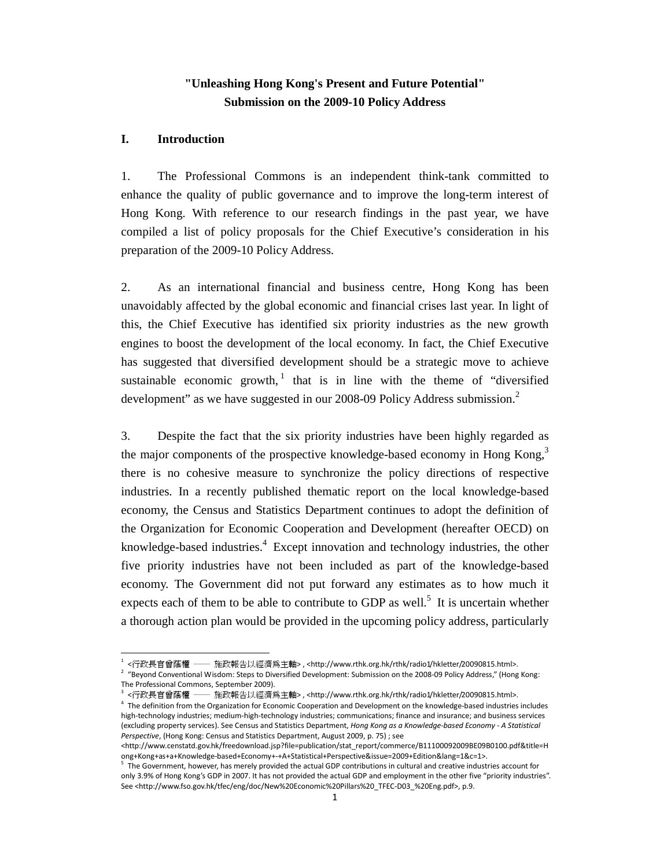# **"Unleashing Hong Kong's Present and Future Potential" Submission on the 2009-10 Policy Address**

## **I. Introduction**

.

1. The Professional Commons is an independent think-tank committed to enhance the quality of public governance and to improve the long-term interest of Hong Kong. With reference to our research findings in the past year, we have compiled a list of policy proposals for the Chief Executive's consideration in his preparation of the 2009-10 Policy Address.

2. As an international financial and business centre, Hong Kong has been unavoidably affected by the global economic and financial crises last year. In light of this, the Chief Executive has identified six priority industries as the new growth engines to boost the development of the local economy. In fact, the Chief Executive has suggested that diversified development should be a strategic move to achieve sustainable economic growth, $\frac{1}{1}$  that is in line with the theme of "diversified" development" as we have suggested in our 2008-09 Policy Address submission. $^2$ 

3. Despite the fact that the six priority industries have been highly regarded as the major components of the prospective knowledge-based economy in Hong Kong,<sup>3</sup> there is no cohesive measure to synchronize the policy directions of respective industries. In a recently published thematic report on the local knowledge-based economy, the Census and Statistics Department continues to adopt the definition of the Organization for Economic Cooperation and Development (hereafter OECD) on knowledge-based industries.<sup>4</sup> Except innovation and technology industries, the other five priority industries have not been included as part of the knowledge-based economy. The Government did not put forward any estimates as to how much it expects each of them to be able to contribute to GDP as well.<sup>5</sup> It is uncertain whether a thorough action plan would be provided in the upcoming policy address, particularly

<sup>1</sup> <行政長官曾蔭權 ── 施政報告以經濟為主軸> , <http://www.rthk.org.hk/rthk/radio1/hkletter/20090815.html>.

<sup>&</sup>lt;sup>2</sup> "Beyond Conventional Wisdom: Steps to Diversified Development: Submission on the 2008-09 Policy Address," (Hong Kong: The Professional Commons, September 2009).

<sup>&</sup>lt;行政長官曾蔭權 - 施政報告以經濟爲主軸>,<http://www.rthk.org.hk/rthk/radio1/hkletter/20090815.html>.

<sup>&</sup>lt;sup>4</sup> The definition from the Organization for Economic Cooperation and Development on the knowledge-based industries includes high-technology industries; medium-high-technology industries; communications; finance and insurance; and business services (excluding property services). See Census and Statistics Department, Hong Kong as a Knowledge-based Economy - A Statistical Perspective, (Hong Kong: Census and Statistics Department, August 2009, p. 75) ; see

<sup>&</sup>lt;http://www.censtatd.gov.hk/freedownload.jsp?file=publication/stat\_report/commerce/B11100092009BE09B0100.pdf&title=H ong+Kong+as+a+Knowledge-based+Economy+-+A+Statistical+Perspective&issue=2009+Edition&lang=1&c=1>.

<sup>&</sup>lt;sup>5</sup> The Government, however, has merely provided the actual GDP contributions in cultural and creative industries account for only 3.9% of Hong Kong's GDP in 2007. It has not provided the actual GDP and employment in the other five "priority industries". See <http://www.fso.gov.hk/tfec/eng/doc/New%20Economic%20Pillars%20\_TFEC-D03\_%20Eng.pdf>, p.9.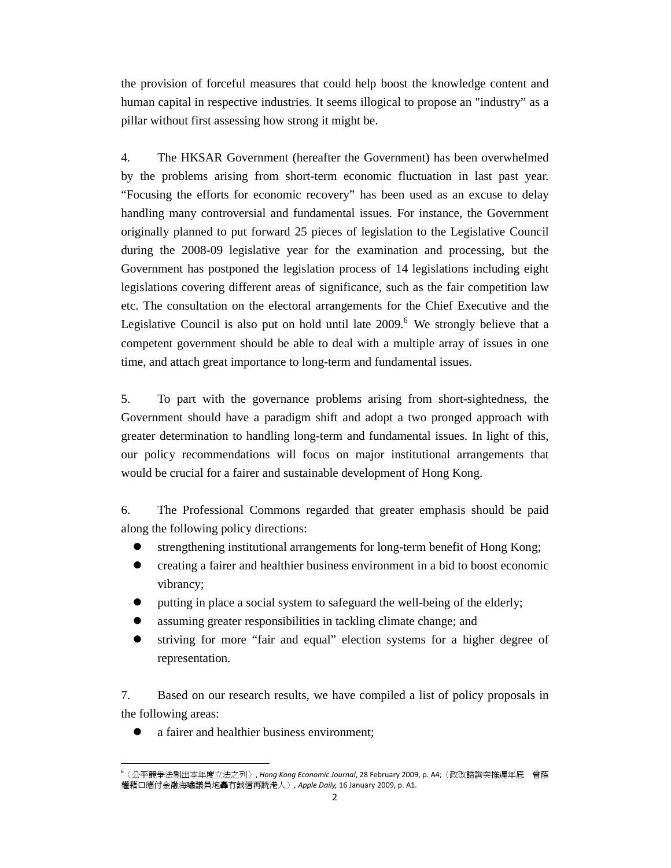the provision of forceful measures that could help boost the knowledge content and human capital in respective industries. It seems illogical to propose an "industry" as a pillar without first assessing how strong it might be.

4. The HKSAR Government (hereafter the Government) has been overwhelmed by the problems arising from short-term economic fluctuation in last past year. "Focusing the efforts for economic recovery" has been used as an excuse to delay handling many controversial and fundamental issues. For instance, the Government originally planned to put forward 25 pieces of legislation to the Legislative Council during the 2008-09 legislative year for the examination and processing, but the Government has postponed the legislation process of 14 legislations including eight legislations covering different areas of significance, such as the fair competition law etc. The consultation on the electoral arrangements for the Chief Executive and the Legislative Council is also put on hold until late  $2009$ .<sup>6</sup> We strongly believe that a competent government should be able to deal with a multiple array of issues in one time, and attach great importance to long-term and fundamental issues.

5. To part with the governance problems arising from short-sightedness, the Government should have a paradigm shift and adopt a two pronged approach with greater determination to handling long-term and fundamental issues. In light of this, our policy recommendations will focus on major institutional arrangements that would be crucial for a fairer and sustainable development of Hong Kong.

6. The Professional Commons regarded that greater emphasis should be paid along the following policy directions:

- strengthening institutional arrangements for long-term benefit of Hong Kong;
- creating a fairer and healthier business environment in a bid to boost economic vibrancy;
- putting in place a social system to safeguard the well-being of the elderly;
- assuming greater responsibilities in tackling climate change; and
- striving for more "fair and equal" election systems for a higher degree of representation.

7. Based on our research results, we have compiled a list of policy proposals in the following areas:

a fairer and healthier business environment;

-

<sup>6</sup>〈公平競爭法剔出本年度立法之列〉, Hong Kong Economic Journal, 28 February 2009, p. A4;〈政改諮詢突推遲年底 曾蔭 權藉口應付金融海嘯議員炮轟冇誠信再跣港人〉, Apple Daily, 16 January 2009, p. A1.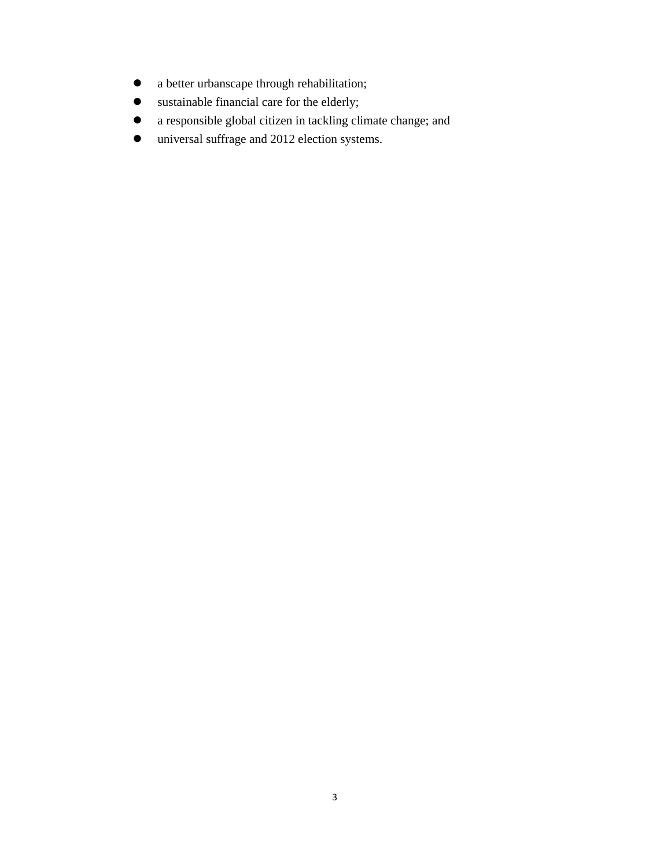- a better urbanscape through rehabilitation;
- sustainable financial care for the elderly;
- a responsible global citizen in tackling climate change; and
- universal suffrage and 2012 election systems.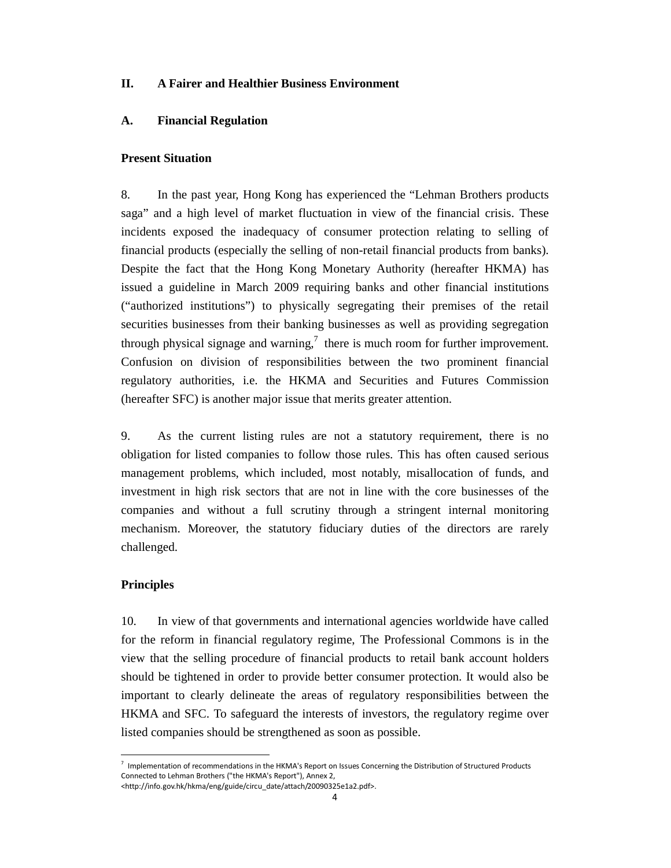## **II. A Fairer and Healthier Business Environment**

### **A. Financial Regulation**

### **Present Situation**

8. In the past year, Hong Kong has experienced the "Lehman Brothers products saga" and a high level of market fluctuation in view of the financial crisis. These incidents exposed the inadequacy of consumer protection relating to selling of financial products (especially the selling of non-retail financial products from banks). Despite the fact that the Hong Kong Monetary Authority (hereafter HKMA) has issued a guideline in March 2009 requiring banks and other financial institutions ("authorized institutions") to physically segregating their premises of the retail securities businesses from their banking businesses as well as providing segregation through physical signage and warning,<sup>7</sup> there is much room for further improvement. Confusion on division of responsibilities between the two prominent financial regulatory authorities, i.e. the HKMA and Securities and Futures Commission (hereafter SFC) is another major issue that merits greater attention.

9. As the current listing rules are not a statutory requirement, there is no obligation for listed companies to follow those rules. This has often caused serious management problems, which included, most notably, misallocation of funds, and investment in high risk sectors that are not in line with the core businesses of the companies and without a full scrutiny through a stringent internal monitoring mechanism. Moreover, the statutory fiduciary duties of the directors are rarely challenged.

#### **Principles**

-

10. In view of that governments and international agencies worldwide have called for the reform in financial regulatory regime, The Professional Commons is in the view that the selling procedure of financial products to retail bank account holders should be tightened in order to provide better consumer protection. It would also be important to clearly delineate the areas of regulatory responsibilities between the HKMA and SFC. To safeguard the interests of investors, the regulatory regime over listed companies should be strengthened as soon as possible.

<sup>&</sup>lt;sup>7</sup> Implementation of recommendations in the HKMA's Report on Issues Concerning the Distribution of Structured Products Connected to Lehman Brothers ("the HKMA's Report"), Annex 2,

<sup>&</sup>lt;http://info.gov.hk/hkma/eng/guide/circu\_date/attach/20090325e1a2.pdf>.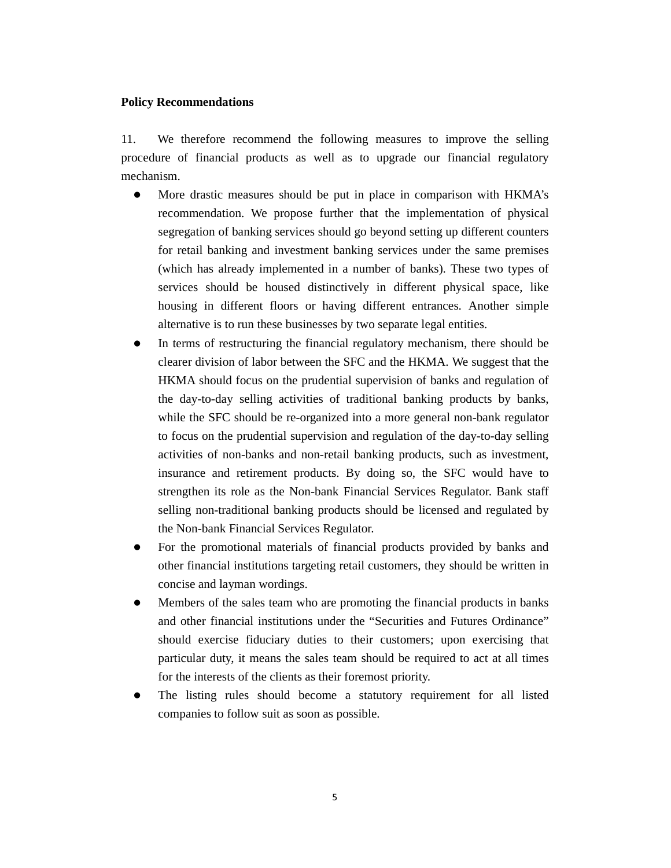#### **Policy Recommendations**

11. We therefore recommend the following measures to improve the selling procedure of financial products as well as to upgrade our financial regulatory mechanism.

- More drastic measures should be put in place in comparison with HKMA's recommendation. We propose further that the implementation of physical segregation of banking services should go beyond setting up different counters for retail banking and investment banking services under the same premises (which has already implemented in a number of banks). These two types of services should be housed distinctively in different physical space, like housing in different floors or having different entrances. Another simple alternative is to run these businesses by two separate legal entities.
- In terms of restructuring the financial regulatory mechanism, there should be clearer division of labor between the SFC and the HKMA. We suggest that the HKMA should focus on the prudential supervision of banks and regulation of the day-to-day selling activities of traditional banking products by banks, while the SFC should be re-organized into a more general non-bank regulator to focus on the prudential supervision and regulation of the day-to-day selling activities of non-banks and non-retail banking products, such as investment, insurance and retirement products. By doing so, the SFC would have to strengthen its role as the Non-bank Financial Services Regulator. Bank staff selling non-traditional banking products should be licensed and regulated by the Non-bank Financial Services Regulator.
- For the promotional materials of financial products provided by banks and other financial institutions targeting retail customers, they should be written in concise and layman wordings.
- Members of the sales team who are promoting the financial products in banks and other financial institutions under the "Securities and Futures Ordinance" should exercise fiduciary duties to their customers; upon exercising that particular duty, it means the sales team should be required to act at all times for the interests of the clients as their foremost priority.
- The listing rules should become a statutory requirement for all listed companies to follow suit as soon as possible.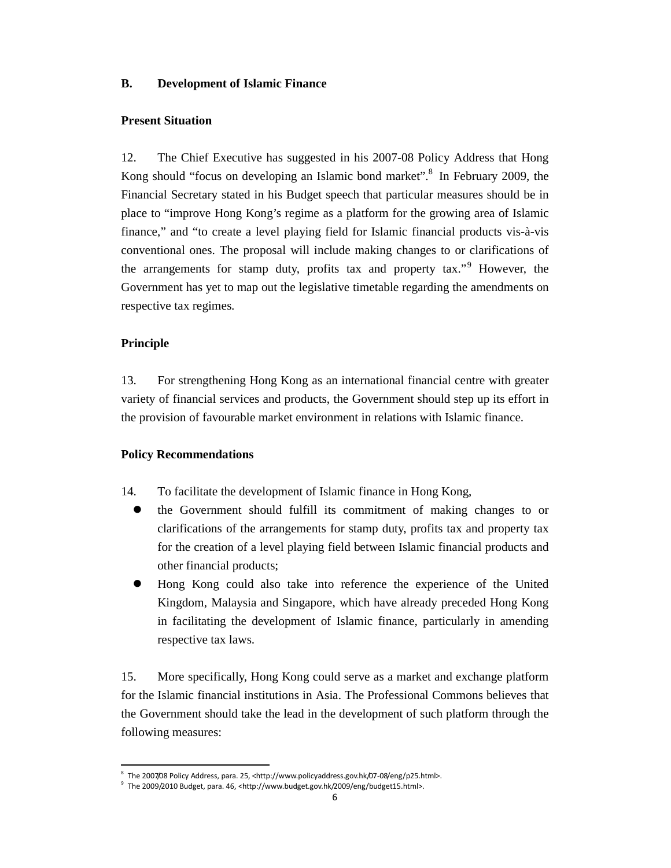### **B. Development of Islamic Finance**

### **Present Situation**

12. The Chief Executive has suggested in his 2007-08 Policy Address that Hong Kong should "focus on developing an Islamic bond market".<sup>8</sup> In February 2009, the Financial Secretary stated in his Budget speech that particular measures should be in place to "improve Hong Kong's regime as a platform for the growing area of Islamic finance," and "to create a level playing field for Islamic financial products vis-à-vis conventional ones. The proposal will include making changes to or clarifications of the arrangements for stamp duty, profits tax and property tax."<sup>9</sup> However, the Government has yet to map out the legislative timetable regarding the amendments on respective tax regimes.

## **Principle**

-

13. For strengthening Hong Kong as an international financial centre with greater variety of financial services and products, the Government should step up its effort in the provision of favourable market environment in relations with Islamic finance.

## **Policy Recommendations**

- 14. To facilitate the development of Islamic finance in Hong Kong,
	- the Government should fulfill its commitment of making changes to or clarifications of the arrangements for stamp duty, profits tax and property tax for the creation of a level playing field between Islamic financial products and other financial products;
	- Hong Kong could also take into reference the experience of the United Kingdom, Malaysia and Singapore, which have already preceded Hong Kong in facilitating the development of Islamic finance, particularly in amending respective tax laws.

15. More specifically, Hong Kong could serve as a market and exchange platform for the Islamic financial institutions in Asia. The Professional Commons believes that the Government should take the lead in the development of such platform through the following measures:

<sup>&</sup>lt;sup>8</sup> The 2007/08 Policy Address, para. 25, <http://www.policyaddress.gov.hk/07-08/eng/p25.html>.

<sup>&</sup>lt;sup>9</sup> The 2009/2010 Budget, para. 46, <http://www.budget.gov.hk/2009/eng/budget15.html>.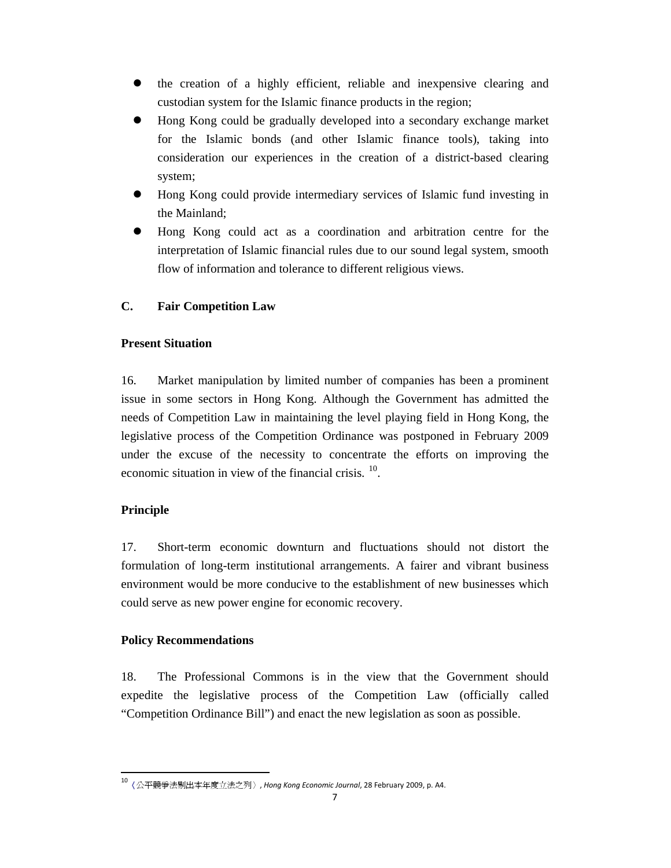- the creation of a highly efficient, reliable and inexpensive clearing and custodian system for the Islamic finance products in the region;
- Hong Kong could be gradually developed into a secondary exchange market for the Islamic bonds (and other Islamic finance tools), taking into consideration our experiences in the creation of a district-based clearing system;
- Hong Kong could provide intermediary services of Islamic fund investing in the Mainland;
- Hong Kong could act as a coordination and arbitration centre for the interpretation of Islamic financial rules due to our sound legal system, smooth flow of information and tolerance to different religious views.

# **C. Fair Competition Law**

## **Present Situation**

16. Market manipulation by limited number of companies has been a prominent issue in some sectors in Hong Kong. Although the Government has admitted the needs of Competition Law in maintaining the level playing field in Hong Kong, the legislative process of the Competition Ordinance was postponed in February 2009 under the excuse of the necessity to concentrate the efforts on improving the economic situation in view of the financial crisis.  $10$ .

## **Principle**

.

17. Short-term economic downturn and fluctuations should not distort the formulation of long-term institutional arrangements. A fairer and vibrant business environment would be more conducive to the establishment of new businesses which could serve as new power engine for economic recovery.

## **Policy Recommendations**

18. The Professional Commons is in the view that the Government should expedite the legislative process of the Competition Law (officially called "Competition Ordinance Bill") and enact the new legislation as soon as possible.

<sup>&</sup>lt;sup>10</sup>〈公平競爭法剔出本年度立法之列〉, Hong Kong Economic Journal, 28 February 2009, p. A4.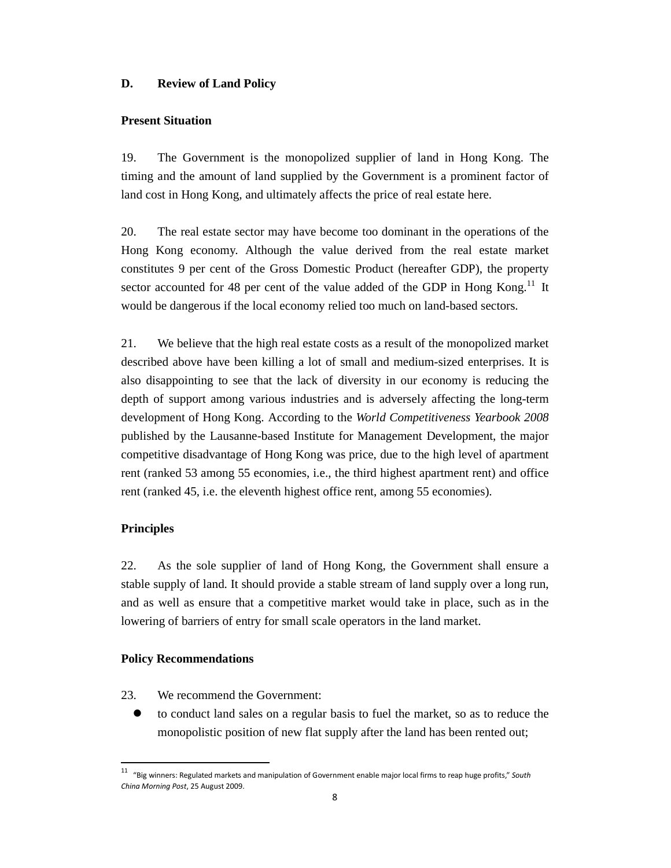### **D. Review of Land Policy**

### **Present Situation**

19. The Government is the monopolized supplier of land in Hong Kong. The timing and the amount of land supplied by the Government is a prominent factor of land cost in Hong Kong, and ultimately affects the price of real estate here.

20. The real estate sector may have become too dominant in the operations of the Hong Kong economy. Although the value derived from the real estate market constitutes 9 per cent of the Gross Domestic Product (hereafter GDP), the property sector accounted for 48 per cent of the value added of the GDP in Hong Kong.<sup>11</sup> It would be dangerous if the local economy relied too much on land-based sectors.

21. We believe that the high real estate costs as a result of the monopolized market described above have been killing a lot of small and medium-sized enterprises. It is also disappointing to see that the lack of diversity in our economy is reducing the depth of support among various industries and is adversely affecting the long-term development of Hong Kong. According to the *World Competitiveness Yearbook 2008*  published by the Lausanne-based Institute for Management Development, the major competitive disadvantage of Hong Kong was price, due to the high level of apartment rent (ranked 53 among 55 economies, i.e., the third highest apartment rent) and office rent (ranked 45, i.e. the eleventh highest office rent, among 55 economies).

#### **Principles**

.

22. As the sole supplier of land of Hong Kong, the Government shall ensure a stable supply of land. It should provide a stable stream of land supply over a long run, and as well as ensure that a competitive market would take in place, such as in the lowering of barriers of entry for small scale operators in the land market.

#### **Policy Recommendations**

- 23. We recommend the Government:
	- to conduct land sales on a regular basis to fuel the market, so as to reduce the monopolistic position of new flat supply after the land has been rented out;

<sup>&</sup>lt;sup>11</sup> "Big winners: Regulated markets and manipulation of Government enable major local firms to reap huge profits," South China Morning Post, 25 August 2009.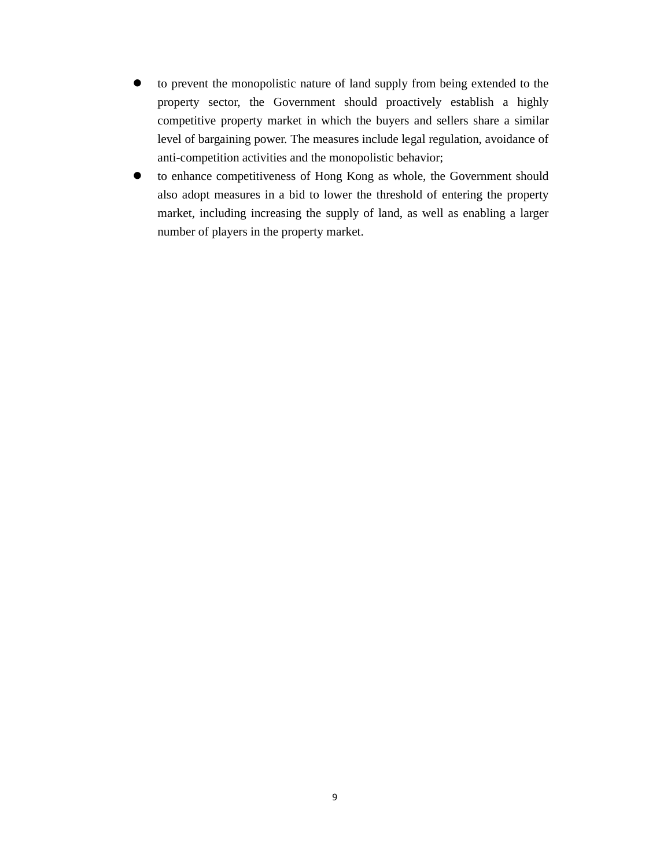- to prevent the monopolistic nature of land supply from being extended to the property sector, the Government should proactively establish a highly competitive property market in which the buyers and sellers share a similar level of bargaining power. The measures include legal regulation, avoidance of anti-competition activities and the monopolistic behavior;
- to enhance competitiveness of Hong Kong as whole, the Government should also adopt measures in a bid to lower the threshold of entering the property market, including increasing the supply of land, as well as enabling a larger number of players in the property market.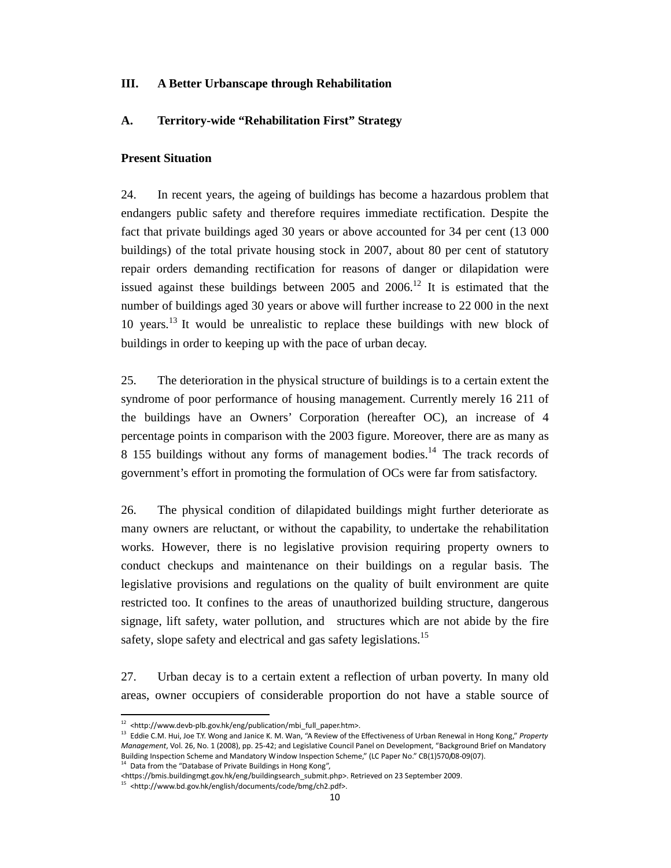### **III. A Better Urbanscape through Rehabilitation**

#### **A. Territory-wide "Rehabilitation First" Strategy**

### **Present Situation**

24. In recent years, the ageing of buildings has become a hazardous problem that endangers public safety and therefore requires immediate rectification. Despite the fact that private buildings aged 30 years or above accounted for 34 per cent (13 000 buildings) of the total private housing stock in 2007, about 80 per cent of statutory repair orders demanding rectification for reasons of danger or dilapidation were issued against these buildings between  $2005$  and  $2006$ .<sup>12</sup> It is estimated that the number of buildings aged 30 years or above will further increase to 22 000 in the next 10 years.<sup>13</sup> It would be unrealistic to replace these buildings with new block of buildings in order to keeping up with the pace of urban decay.

25. The deterioration in the physical structure of buildings is to a certain extent the syndrome of poor performance of housing management. Currently merely 16 211 of the buildings have an Owners' Corporation (hereafter OC), an increase of 4 percentage points in comparison with the 2003 figure. Moreover, there are as many as 8 155 buildings without any forms of management bodies.<sup>14</sup> The track records of government's effort in promoting the formulation of OCs were far from satisfactory.

26. The physical condition of dilapidated buildings might further deteriorate as many owners are reluctant, or without the capability, to undertake the rehabilitation works. However, there is no legislative provision requiring property owners to conduct checkups and maintenance on their buildings on a regular basis. The legislative provisions and regulations on the quality of built environment are quite restricted too. It confines to the areas of unauthorized building structure, dangerous signage, lift safety, water pollution, and structures which are not abide by the fire safety, slope safety and electrical and gas safety legislations.<sup>15</sup>

27. Urban decay is to a certain extent a reflection of urban poverty. In many old areas, owner occupiers of considerable proportion do not have a stable source of

-

<sup>&</sup>lt;sup>12</sup> <http://www.devb-plb.gov.hk/eng/publication/mbi\_full\_paper.htm>.

<sup>&</sup>lt;sup>13</sup> Eddie C.M. Hui, Joe T.Y. Wong and Janice K. M. Wan, "A Review of the Effectiveness of Urban Renewal in Hong Kong," Property Management, Vol. 26, No. 1 (2008), pp. 25-42; and Legislative Council Panel on Development, "Background Brief on Mandatory Building Inspection Scheme and Mandatory Window Inspection Scheme," (LC Paper No." CB(1)570/08-09(07). <sup>14</sup> Data from the "Database of Private Buildings in Hong Kong",

<sup>&</sup>lt;https://bmis.buildingmgt.gov.hk/eng/buildingsearch\_submit.php>. Retrieved on 23 September 2009.

<sup>15</sup> <http://www.bd.gov.hk/english/documents/code/bmg/ch2.pdf>.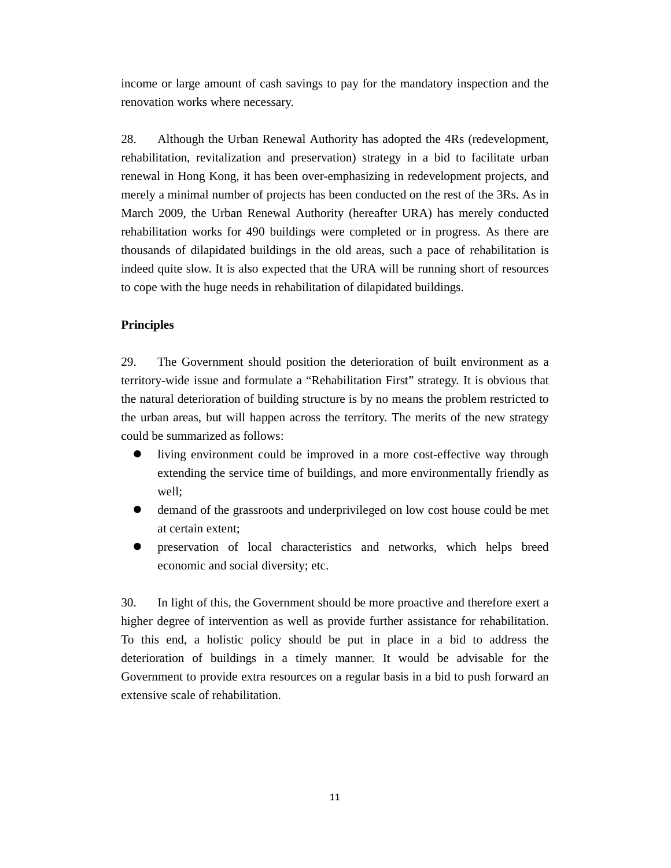income or large amount of cash savings to pay for the mandatory inspection and the renovation works where necessary.

28. Although the Urban Renewal Authority has adopted the 4Rs (redevelopment, rehabilitation, revitalization and preservation) strategy in a bid to facilitate urban renewal in Hong Kong, it has been over-emphasizing in redevelopment projects, and merely a minimal number of projects has been conducted on the rest of the 3Rs. As in March 2009, the Urban Renewal Authority (hereafter URA) has merely conducted rehabilitation works for 490 buildings were completed or in progress. As there are thousands of dilapidated buildings in the old areas, such a pace of rehabilitation is indeed quite slow. It is also expected that the URA will be running short of resources to cope with the huge needs in rehabilitation of dilapidated buildings.

## **Principles**

29. The Government should position the deterioration of built environment as a territory-wide issue and formulate a "Rehabilitation First" strategy. It is obvious that the natural deterioration of building structure is by no means the problem restricted to the urban areas, but will happen across the territory. The merits of the new strategy could be summarized as follows:

- living environment could be improved in a more cost-effective way through extending the service time of buildings, and more environmentally friendly as well;
- demand of the grassroots and underprivileged on low cost house could be met at certain extent;
- preservation of local characteristics and networks, which helps breed economic and social diversity; etc.

30. In light of this, the Government should be more proactive and therefore exert a higher degree of intervention as well as provide further assistance for rehabilitation. To this end, a holistic policy should be put in place in a bid to address the deterioration of buildings in a timely manner. It would be advisable for the Government to provide extra resources on a regular basis in a bid to push forward an extensive scale of rehabilitation.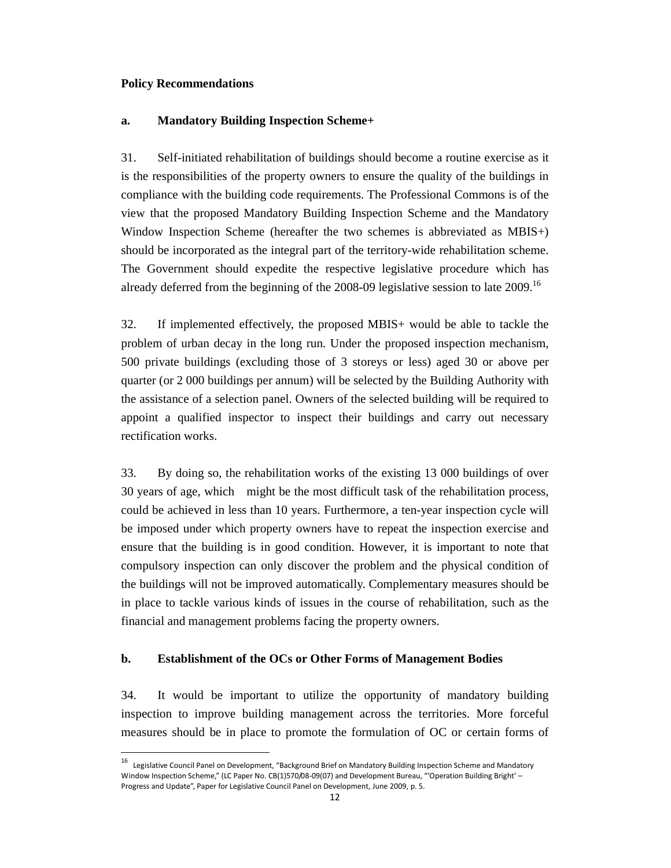### **Policy Recommendations**

.

#### **a. Mandatory Building Inspection Scheme+**

31. Self-initiated rehabilitation of buildings should become a routine exercise as it is the responsibilities of the property owners to ensure the quality of the buildings in compliance with the building code requirements. The Professional Commons is of the view that the proposed Mandatory Building Inspection Scheme and the Mandatory Window Inspection Scheme (hereafter the two schemes is abbreviated as MBIS+) should be incorporated as the integral part of the territory-wide rehabilitation scheme. The Government should expedite the respective legislative procedure which has already deferred from the beginning of the 2008-09 legislative session to late 2009.<sup>16</sup>

32. If implemented effectively, the proposed MBIS+ would be able to tackle the problem of urban decay in the long run. Under the proposed inspection mechanism, 500 private buildings (excluding those of 3 storeys or less) aged 30 or above per quarter (or 2 000 buildings per annum) will be selected by the Building Authority with the assistance of a selection panel. Owners of the selected building will be required to appoint a qualified inspector to inspect their buildings and carry out necessary rectification works.

33. By doing so, the rehabilitation works of the existing 13 000 buildings of over 30 years of age, which might be the most difficult task of the rehabilitation process, could be achieved in less than 10 years. Furthermore, a ten-year inspection cycle will be imposed under which property owners have to repeat the inspection exercise and ensure that the building is in good condition. However, it is important to note that compulsory inspection can only discover the problem and the physical condition of the buildings will not be improved automatically. Complementary measures should be in place to tackle various kinds of issues in the course of rehabilitation, such as the financial and management problems facing the property owners.

### **b. Establishment of the OCs or Other Forms of Management Bodies**

34. It would be important to utilize the opportunity of mandatory building inspection to improve building management across the territories. More forceful measures should be in place to promote the formulation of OC or certain forms of

<sup>16</sup> Legislative Council Panel on Development, "Background Brief on Mandatory Building Inspection Scheme and Mandatory Window Inspection Scheme," (LC Paper No. CB(1)570/08-09(07) and Development Bureau, "'Operation Building Bright' – Progress and Update", Paper for Legislative Council Panel on Development, June 2009, p. 5.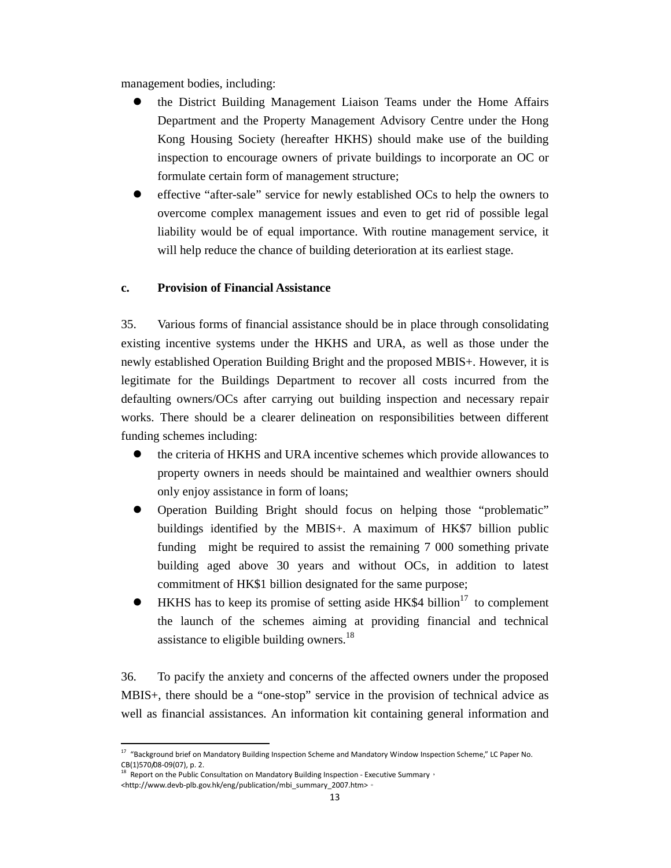management bodies, including:

- the District Building Management Liaison Teams under the Home Affairs Department and the Property Management Advisory Centre under the Hong Kong Housing Society (hereafter HKHS) should make use of the building inspection to encourage owners of private buildings to incorporate an OC or formulate certain form of management structure;
- effective "after-sale" service for newly established OCs to help the owners to overcome complex management issues and even to get rid of possible legal liability would be of equal importance. With routine management service, it will help reduce the chance of building deterioration at its earliest stage.

### **c. Provision of Financial Assistance**

35. Various forms of financial assistance should be in place through consolidating existing incentive systems under the HKHS and URA, as well as those under the newly established Operation Building Bright and the proposed MBIS+. However, it is legitimate for the Buildings Department to recover all costs incurred from the defaulting owners/OCs after carrying out building inspection and necessary repair works. There should be a clearer delineation on responsibilities between different funding schemes including:

- the criteria of HKHS and URA incentive schemes which provide allowances to property owners in needs should be maintained and wealthier owners should only enjoy assistance in form of loans;
- Operation Building Bright should focus on helping those "problematic" buildings identified by the MBIS+. A maximum of HK\$7 billion public funding might be required to assist the remaining 7 000 something private building aged above 30 years and without OCs, in addition to latest commitment of HK\$1 billion designated for the same purpose;
- $\bullet$  HKHS has to keep its promise of setting aside HK\$4 billion<sup>17</sup> to complement the launch of the schemes aiming at providing financial and technical assistance to eligible building owners.<sup>18</sup>

36. To pacify the anxiety and concerns of the affected owners under the proposed MBIS+, there should be a "one-stop" service in the provision of technical advice as well as financial assistances. An information kit containing general information and

-

 $17$  "Background brief on Mandatory Building Inspection Scheme and Mandatory Window Inspection Scheme," LC Paper No. CB(1)570/08-09(07), p. 2.

Report on the Public Consultation on Mandatory Building Inspection - Executive Summary, <http://www.devb-plb.gov.hk/eng/publication/mbi\_summary\_2007.htm>。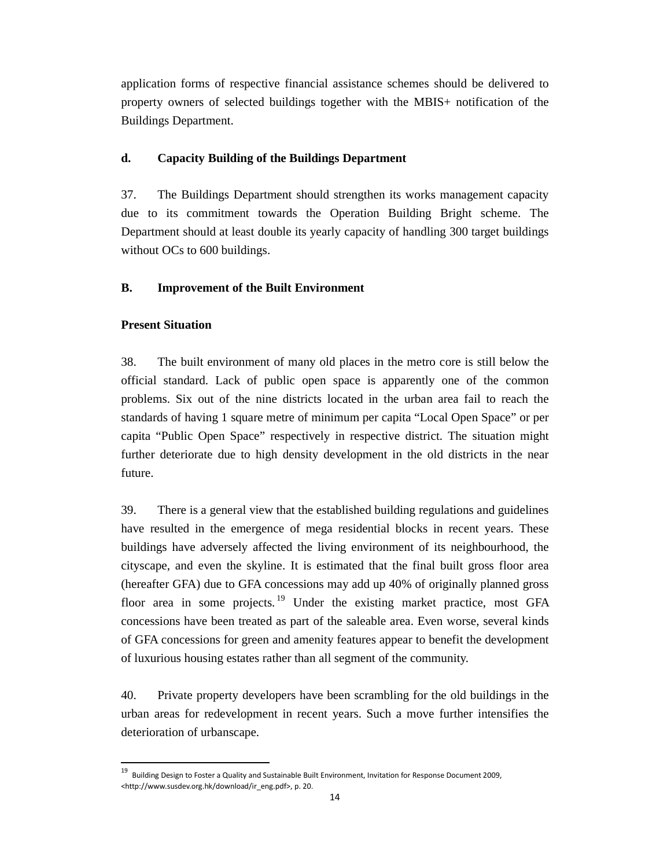application forms of respective financial assistance schemes should be delivered to property owners of selected buildings together with the MBIS+ notification of the Buildings Department.

## **d. Capacity Building of the Buildings Department**

37. The Buildings Department should strengthen its works management capacity due to its commitment towards the Operation Building Bright scheme. The Department should at least double its yearly capacity of handling 300 target buildings without OCs to 600 buildings.

## **B. Improvement of the Built Environment**

## **Present Situation**

.

38. The built environment of many old places in the metro core is still below the official standard. Lack of public open space is apparently one of the common problems. Six out of the nine districts located in the urban area fail to reach the standards of having 1 square metre of minimum per capita "Local Open Space" or per capita "Public Open Space" respectively in respective district. The situation might further deteriorate due to high density development in the old districts in the near future.

39. There is a general view that the established building regulations and guidelines have resulted in the emergence of mega residential blocks in recent years. These buildings have adversely affected the living environment of its neighbourhood, the cityscape, and even the skyline. It is estimated that the final built gross floor area (hereafter GFA) due to GFA concessions may add up 40% of originally planned gross floor area in some projects.<sup>19</sup> Under the existing market practice, most GFA concessions have been treated as part of the saleable area. Even worse, several kinds of GFA concessions for green and amenity features appear to benefit the development of luxurious housing estates rather than all segment of the community.

40. Private property developers have been scrambling for the old buildings in the urban areas for redevelopment in recent years. Such a move further intensifies the deterioration of urbanscape.

<sup>&</sup>lt;sup>19</sup> Building Design to Foster a Quality and Sustainable Built Environment, Invitation for Response Document 2009, <http://www.susdev.org.hk/download/ir\_eng.pdf>, p. 20.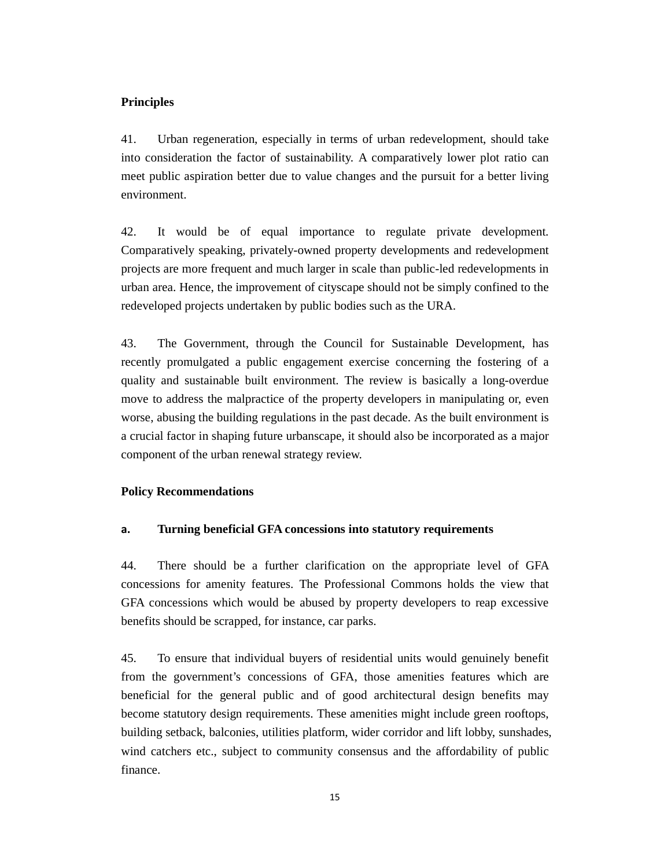### **Principles**

41. Urban regeneration, especially in terms of urban redevelopment, should take into consideration the factor of sustainability. A comparatively lower plot ratio can meet public aspiration better due to value changes and the pursuit for a better living environment.

42. It would be of equal importance to regulate private development. Comparatively speaking, privately-owned property developments and redevelopment projects are more frequent and much larger in scale than public-led redevelopments in urban area. Hence, the improvement of cityscape should not be simply confined to the redeveloped projects undertaken by public bodies such as the URA.

43. The Government, through the Council for Sustainable Development, has recently promulgated a public engagement exercise concerning the fostering of a quality and sustainable built environment. The review is basically a long-overdue move to address the malpractice of the property developers in manipulating or, even worse, abusing the building regulations in the past decade. As the built environment is a crucial factor in shaping future urbanscape, it should also be incorporated as a major component of the urban renewal strategy review.

### **Policy Recommendations**

#### a. **Turning beneficial GFA concessions into statutory requirements**

44. There should be a further clarification on the appropriate level of GFA concessions for amenity features. The Professional Commons holds the view that GFA concessions which would be abused by property developers to reap excessive benefits should be scrapped, for instance, car parks.

45. To ensure that individual buyers of residential units would genuinely benefit from the government's concessions of GFA, those amenities features which are beneficial for the general public and of good architectural design benefits may become statutory design requirements. These amenities might include green rooftops, building setback, balconies, utilities platform, wider corridor and lift lobby, sunshades, wind catchers etc., subject to community consensus and the affordability of public finance.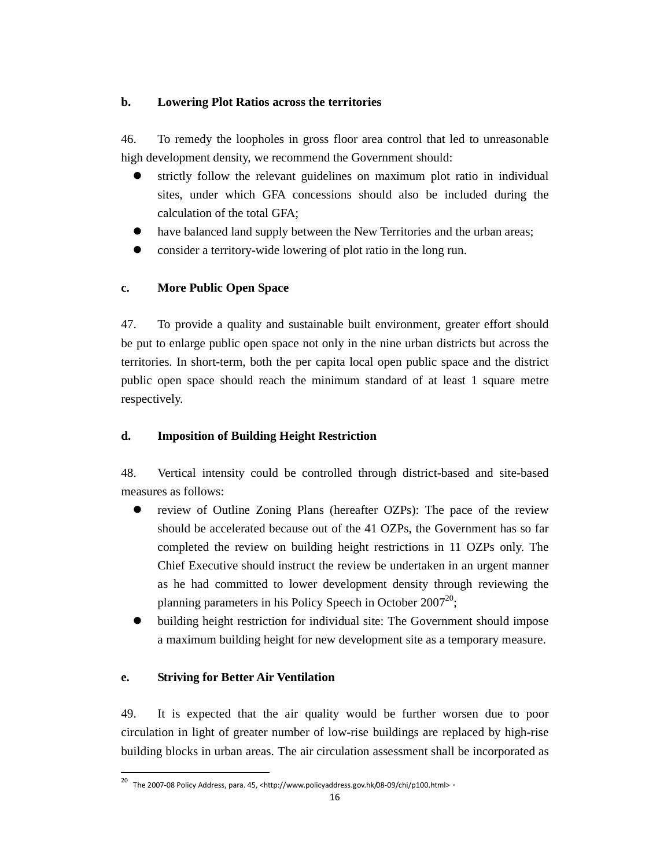## **b. Lowering Plot Ratios across the territories**

46. To remedy the loopholes in gross floor area control that led to unreasonable high development density, we recommend the Government should:

- strictly follow the relevant guidelines on maximum plot ratio in individual sites, under which GFA concessions should also be included during the calculation of the total GFA;
- have balanced land supply between the New Territories and the urban areas;
- consider a territory-wide lowering of plot ratio in the long run.

# **c. More Public Open Space**

47. To provide a quality and sustainable built environment, greater effort should be put to enlarge public open space not only in the nine urban districts but across the territories. In short-term, both the per capita local open public space and the district public open space should reach the minimum standard of at least 1 square metre respectively.

# **d. Imposition of Building Height Restriction**

48. Vertical intensity could be controlled through district-based and site-based measures as follows:

- review of Outline Zoning Plans (hereafter OZPs): The pace of the review should be accelerated because out of the 41 OZPs, the Government has so far completed the review on building height restrictions in 11 OZPs only. The Chief Executive should instruct the review be undertaken in an urgent manner as he had committed to lower development density through reviewing the planning parameters in his Policy Speech in October 2007<sup>20</sup>:
- building height restriction for individual site: The Government should impose a maximum building height for new development site as a temporary measure.

# **e. Striving for Better Air Ventilation**

.

49. It is expected that the air quality would be further worsen due to poor circulation in light of greater number of low-rise buildings are replaced by high-rise building blocks in urban areas. The air circulation assessment shall be incorporated as

<sup>20</sup> The 2007-08 Policy Address, para. 45, <http://www.policyaddress.gov.hk/08-09/chi/p100.html>。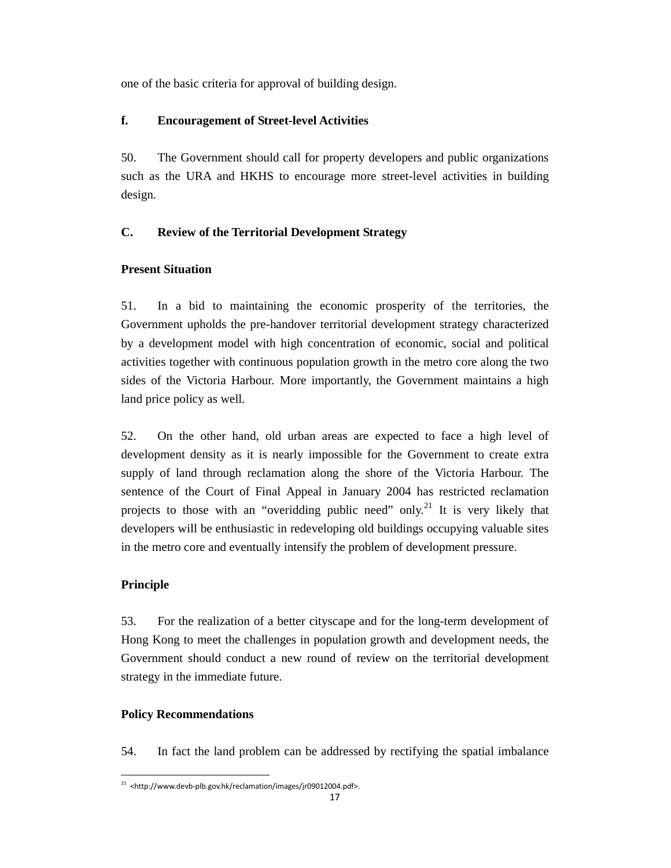one of the basic criteria for approval of building design.

## **f. Encouragement of Street-level Activities**

50. The Government should call for property developers and public organizations such as the URA and HKHS to encourage more street-level activities in building design.

# **C. Review of the Territorial Development Strategy**

# **Present Situation**

51. In a bid to maintaining the economic prosperity of the territories, the Government upholds the pre-handover territorial development strategy characterized by a development model with high concentration of economic, social and political activities together with continuous population growth in the metro core along the two sides of the Victoria Harbour. More importantly, the Government maintains a high land price policy as well.

52. On the other hand, old urban areas are expected to face a high level of development density as it is nearly impossible for the Government to create extra supply of land through reclamation along the shore of the Victoria Harbour. The sentence of the Court of Final Appeal in January 2004 has restricted reclamation projects to those with an "overidding public need" only.<sup>21</sup> It is very likely that developers will be enthusiastic in redeveloping old buildings occupying valuable sites in the metro core and eventually intensify the problem of development pressure.

# **Principle**

53. For the realization of a better cityscape and for the long-term development of Hong Kong to meet the challenges in population growth and development needs, the Government should conduct a new round of review on the territorial development strategy in the immediate future.

# **Policy Recommendations**

54. In fact the land problem can be addressed by rectifying the spatial imbalance

<sup>-</sup> $21$  <http://www.devb-plb.gov.hk/reclamation/images/jr09012004.pdf>.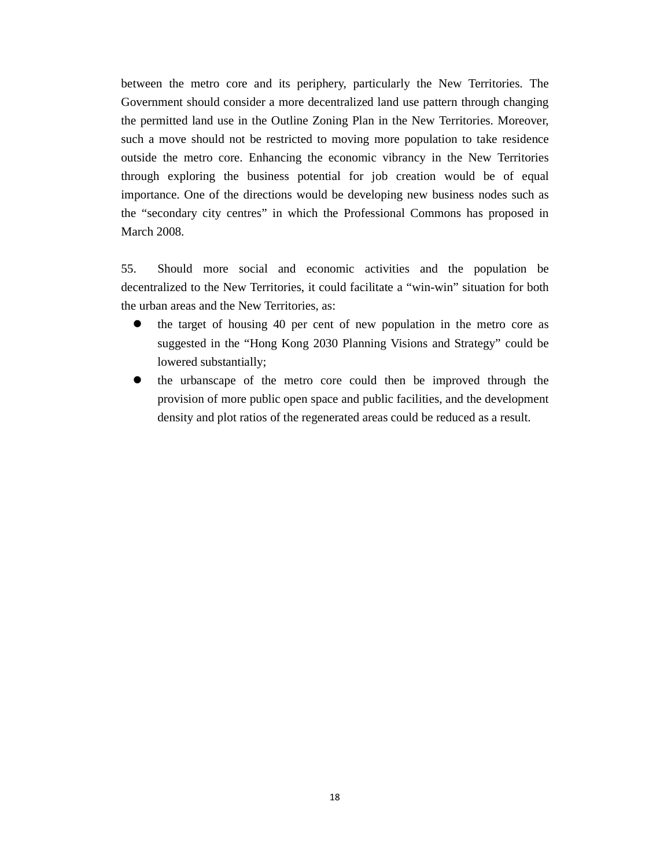between the metro core and its periphery, particularly the New Territories. The Government should consider a more decentralized land use pattern through changing the permitted land use in the Outline Zoning Plan in the New Territories. Moreover, such a move should not be restricted to moving more population to take residence outside the metro core. Enhancing the economic vibrancy in the New Territories through exploring the business potential for job creation would be of equal importance. One of the directions would be developing new business nodes such as the "secondary city centres" in which the Professional Commons has proposed in March 2008.

55. Should more social and economic activities and the population be decentralized to the New Territories, it could facilitate a "win-win" situation for both the urban areas and the New Territories, as:

- the target of housing 40 per cent of new population in the metro core as suggested in the "Hong Kong 2030 Planning Visions and Strategy" could be lowered substantially;
- the urbanscape of the metro core could then be improved through the provision of more public open space and public facilities, and the development density and plot ratios of the regenerated areas could be reduced as a result.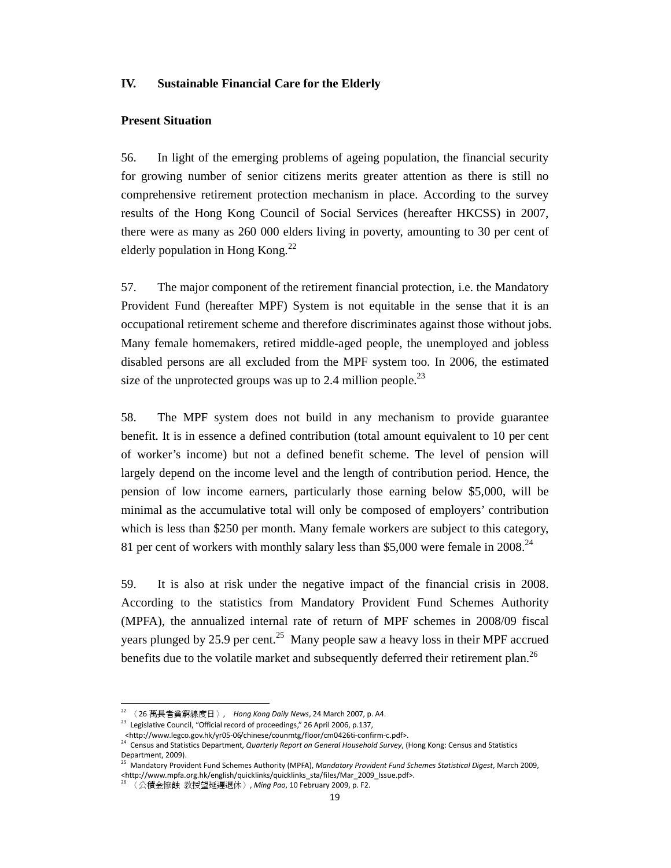## **IV. Sustainable Financial Care for the Elderly**

### **Present Situation**

56. In light of the emerging problems of ageing population, the financial security for growing number of senior citizens merits greater attention as there is still no comprehensive retirement protection mechanism in place. According to the survey results of the Hong Kong Council of Social Services (hereafter HKCSS) in 2007, there were as many as 260 000 elders living in poverty, amounting to 30 per cent of elderly population in Hong Kong. $^{22}$ 

57. The major component of the retirement financial protection, i.e. the Mandatory Provident Fund (hereafter MPF) System is not equitable in the sense that it is an occupational retirement scheme and therefore discriminates against those without jobs. Many female homemakers, retired middle-aged people, the unemployed and jobless disabled persons are all excluded from the MPF system too. In 2006, the estimated size of the unprotected groups was up to 2.4 million people.<sup>23</sup>

58. The MPF system does not build in any mechanism to provide guarantee benefit. It is in essence a defined contribution (total amount equivalent to 10 per cent of worker's income) but not a defined benefit scheme. The level of pension will largely depend on the income level and the length of contribution period. Hence, the pension of low income earners, particularly those earning below \$5,000, will be minimal as the accumulative total will only be composed of employers' contribution which is less than \$250 per month. Many female workers are subject to this category, 81 per cent of workers with monthly salary less than \$5,000 were female in  $2008.<sup>24</sup>$ 

59. It is also at risk under the negative impact of the financial crisis in 2008. According to the statistics from Mandatory Provident Fund Schemes Authority (MPFA), the annualized internal rate of return of MPF schemes in 2008/09 fiscal years plunged by 25.9 per cent.<sup>25</sup> Many people saw a heavy loss in their MPF accrued benefits due to the volatile market and subsequently deferred their retirement plan.<sup>26</sup>

-

 $^{22}$  〈 26 萬長者貧窮線度日 〉, Hong Kong Daily News, 24 March 2007, p. A4.

<sup>&</sup>lt;sup>23</sup> Legislative Council, "Official record of proceedings," 26 April 2006, p.137,

<sup>&</sup>lt;http://www.legco.gov.hk/yr05-06/chinese/counmtg/floor/cm0426ti-confirm-c.pdf>.<br><sup>24</sup> Census and Statistics Department, *Quarterly Report on General Household Survey*, (Hong Kong: Census and Statistics Department, 2009).

<sup>25</sup> Mandatory Provident Fund Schemes Authority (MPFA), Mandatory Provident Fund Schemes Statistical Digest, March 2009, <http://www.mpfa.org.hk/english/quicklinks/quicklinks\_sta/files/Mar\_2009\_Issue.pdf>.

<sup>〈</sup>公積金慘蝕 教授望延遲退休〉, Ming Pao, 10 February 2009, p. F2.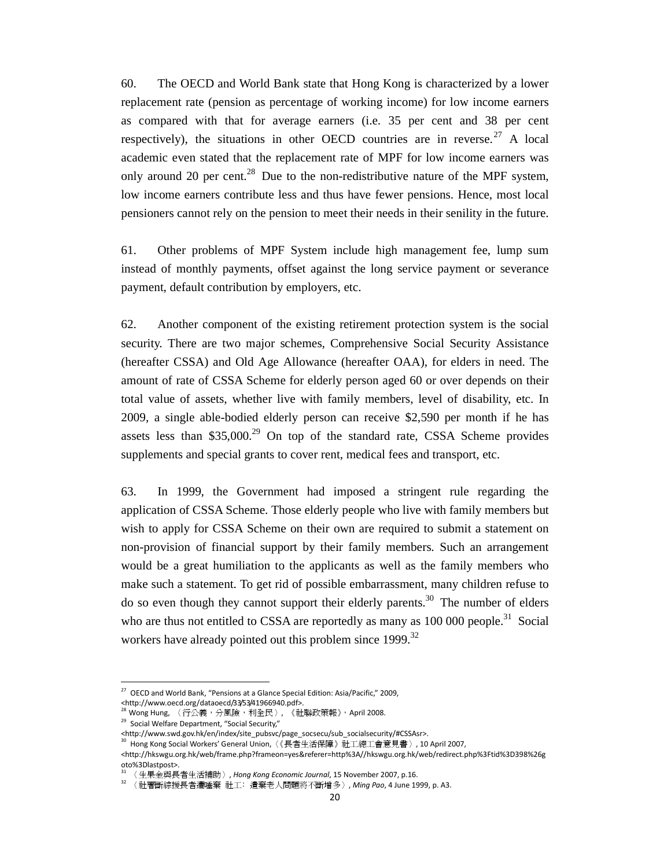60. The OECD and World Bank state that Hong Kong is characterized by a lower replacement rate (pension as percentage of working income) for low income earners as compared with that for average earners (i.e. 35 per cent and 38 per cent respectively), the situations in other OECD countries are in reverse.<sup>27</sup> A local academic even stated that the replacement rate of MPF for low income earners was only around 20 per cent.<sup>28</sup> Due to the non-redistributive nature of the MPF system, low income earners contribute less and thus have fewer pensions. Hence, most local pensioners cannot rely on the pension to meet their needs in their senility in the future.

61. Other problems of MPF System include high management fee, lump sum instead of monthly payments, offset against the long service payment or severance payment, default contribution by employers, etc.

62. Another component of the existing retirement protection system is the social security. There are two major schemes, Comprehensive Social Security Assistance (hereafter CSSA) and Old Age Allowance (hereafter OAA), for elders in need. The amount of rate of CSSA Scheme for elderly person aged 60 or over depends on their total value of assets, whether live with family members, level of disability, etc. In 2009, a single able-bodied elderly person can receive \$2,590 per month if he has assets less than  $$35,000.<sup>29</sup>$  On top of the standard rate, CSSA Scheme provides supplements and special grants to cover rent, medical fees and transport, etc.

63. In 1999, the Government had imposed a stringent rule regarding the application of CSSA Scheme. Those elderly people who live with family members but wish to apply for CSSA Scheme on their own are required to submit a statement on non-provision of financial support by their family members. Such an arrangement would be a great humiliation to the applicants as well as the family members who make such a statement. To get rid of possible embarrassment, many children refuse to do so even though they cannot support their elderly parents.<sup>30</sup> The number of elders who are thus not entitled to CSSA are reportedly as many as  $100\,000$  people.<sup>31</sup> Social workers have already pointed out this problem since  $1999$ <sup>32</sup>

.

 $27$  OECD and World Bank, "Pensions at a Glance Special Edition: Asia/Pacific," 2009,

<sup>&</sup>lt;http://www.oecd.org/dataoecd/33/53/41966940.pdf>.

<sup>&</sup>lt;sup>28</sup> Wong Hung, 〈行公義,分風險,利全民〉, 《社聯政策報》, April 2008.

<sup>29</sup> Social Welfare Department, "Social Security,"

<sup>&</sup>lt;http://www.swd.gov.hk/en/index/site\_pubsvc/page\_socsecu/sub\_socialsecurity/#CSSAsr>.

<sup>30</sup> Hong Kong Social Workers' General Union,〈《長者生活保障》社工總工會意見書〉, 10 April 2007,

<sup>&</sup>lt;http://hkswgu.org.hk/web/frame.php?frameon=yes&referer=http%3A//hkswgu.org.hk/web/redirect.php%3Ftid%3D398%26g oto%3Dlastpost>.

<sup>〈</sup>生果金與長者生活補助〉, Hong Kong Economic Journal, 15 November 2007, p.16.

<sup>32</sup> 〈社署斷綜援長者遭唾棄 社工﹕遺棄老人問題將不斷增多〉, Ming Pao, 4 June 1999, p. A3.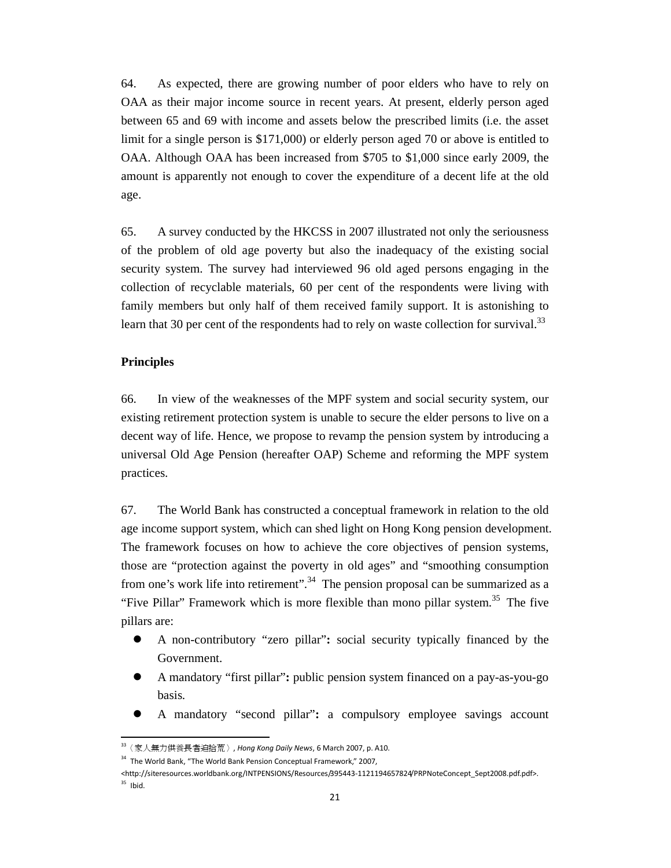64. As expected, there are growing number of poor elders who have to rely on OAA as their major income source in recent years. At present, elderly person aged between 65 and 69 with income and assets below the prescribed limits (i.e. the asset limit for a single person is \$171,000) or elderly person aged 70 or above is entitled to OAA. Although OAA has been increased from \$705 to \$1,000 since early 2009, the amount is apparently not enough to cover the expenditure of a decent life at the old age.

65. A survey conducted by the HKCSS in 2007 illustrated not only the seriousness of the problem of old age poverty but also the inadequacy of the existing social security system. The survey had interviewed 96 old aged persons engaging in the collection of recyclable materials, 60 per cent of the respondents were living with family members but only half of them received family support. It is astonishing to learn that 30 per cent of the respondents had to rely on waste collection for survival.<sup>33</sup>

### **Principles**

.

66. In view of the weaknesses of the MPF system and social security system, our existing retirement protection system is unable to secure the elder persons to live on a decent way of life. Hence, we propose to revamp the pension system by introducing a universal Old Age Pension (hereafter OAP) Scheme and reforming the MPF system practices.

67. The World Bank has constructed a conceptual framework in relation to the old age income support system, which can shed light on Hong Kong pension development. The framework focuses on how to achieve the core objectives of pension systems, those are "protection against the poverty in old ages" and "smoothing consumption from one's work life into retirement".<sup>34</sup> The pension proposal can be summarized as a "Five Pillar" Framework which is more flexible than mono pillar system.<sup>35</sup> The five pillars are:

- A non-contributory "zero pillar"**:** social security typically financed by the Government.
- A mandatory "first pillar"**:** public pension system financed on a pay-as-you-go basis.
- A mandatory "second pillar"**:** a compulsory employee savings account

 $33$  〈家人無力供養長者迫拾荒〉, Hong Kong Daily News, 6 March 2007, p. A10.

<sup>&</sup>lt;sup>34</sup> The World Bank, "The World Bank Pension Conceptual Framework," 2007,

<sup>&</sup>lt;http://siteresources.worldbank.org/INTPENSIONS/Resources/395443-1121194657824/PRPNoteConcept\_Sept2008.pdf.pdf>.  $35$  Ibid.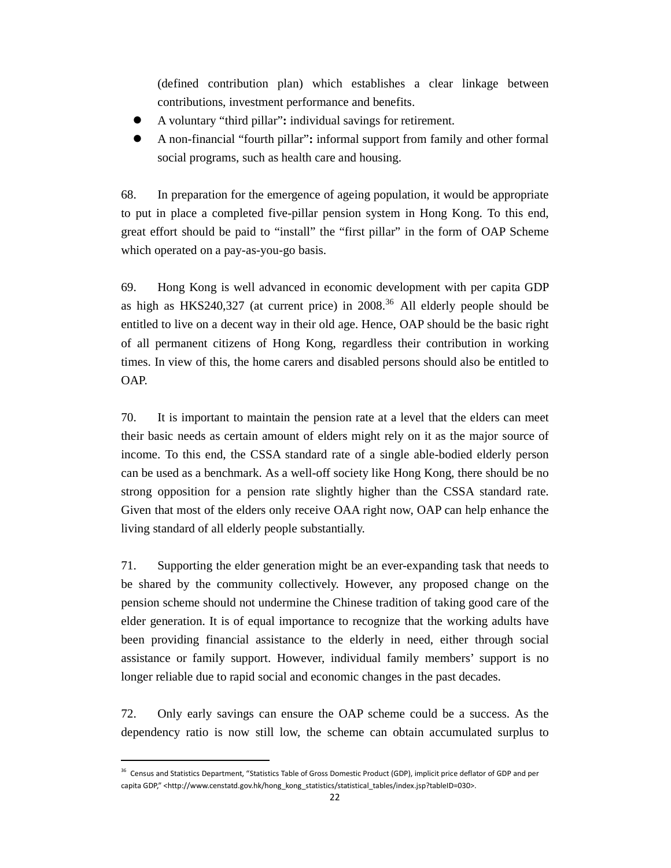(defined contribution plan) which establishes a clear linkage between contributions, investment performance and benefits.

- A voluntary "third pillar"**:** individual savings for retirement.
- A non-financial "fourth pillar"**:** informal support from family and other formal social programs, such as health care and housing.

68. In preparation for the emergence of ageing population, it would be appropriate to put in place a completed five-pillar pension system in Hong Kong. To this end, great effort should be paid to "install" the "first pillar" in the form of OAP Scheme which operated on a pay-as-you-go basis.

69. Hong Kong is well advanced in economic development with per capita GDP as high as HKS240,327 (at current price) in  $2008<sup>36</sup>$  All elderly people should be entitled to live on a decent way in their old age. Hence, OAP should be the basic right of all permanent citizens of Hong Kong, regardless their contribution in working times. In view of this, the home carers and disabled persons should also be entitled to OAP.

70. It is important to maintain the pension rate at a level that the elders can meet their basic needs as certain amount of elders might rely on it as the major source of income. To this end, the CSSA standard rate of a single able-bodied elderly person can be used as a benchmark. As a well-off society like Hong Kong, there should be no strong opposition for a pension rate slightly higher than the CSSA standard rate. Given that most of the elders only receive OAA right now, OAP can help enhance the living standard of all elderly people substantially.

71. Supporting the elder generation might be an ever-expanding task that needs to be shared by the community collectively. However, any proposed change on the pension scheme should not undermine the Chinese tradition of taking good care of the elder generation. It is of equal importance to recognize that the working adults have been providing financial assistance to the elderly in need, either through social assistance or family support. However, individual family members' support is no longer reliable due to rapid social and economic changes in the past decades.

72. Only early savings can ensure the OAP scheme could be a success. As the dependency ratio is now still low, the scheme can obtain accumulated surplus to

.

<sup>&</sup>lt;sup>36</sup> Census and Statistics Department, "Statistics Table of Gross Domestic Product (GDP), implicit price deflator of GDP and per capita GDP," <http://www.censtatd.gov.hk/hong\_kong\_statistics/statistical\_tables/index.jsp?tableID=030>.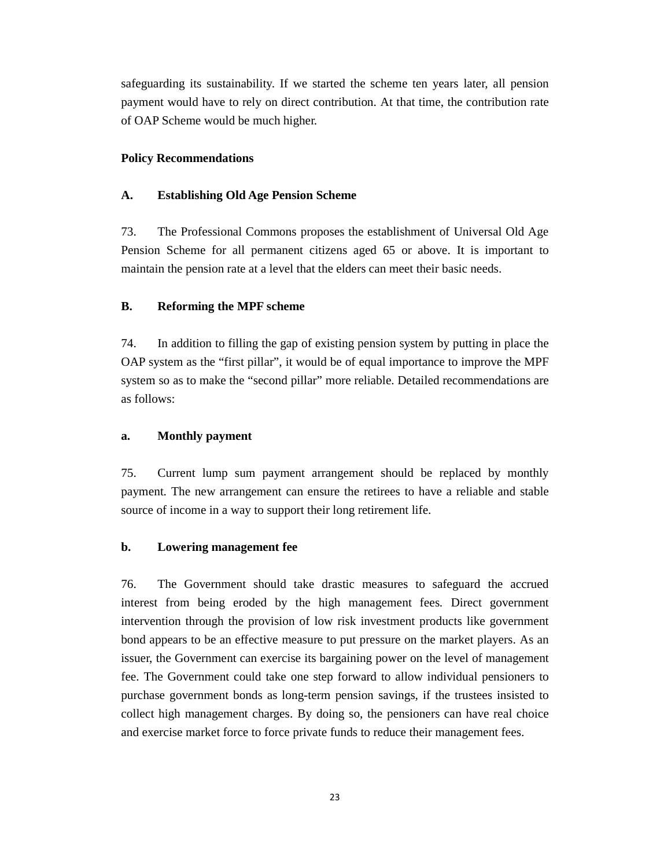safeguarding its sustainability. If we started the scheme ten years later, all pension payment would have to rely on direct contribution. At that time, the contribution rate of OAP Scheme would be much higher.

### **Policy Recommendations**

### **A. Establishing Old Age Pension Scheme**

73. The Professional Commons proposes the establishment of Universal Old Age Pension Scheme for all permanent citizens aged 65 or above. It is important to maintain the pension rate at a level that the elders can meet their basic needs.

### **B. Reforming the MPF scheme**

74. In addition to filling the gap of existing pension system by putting in place the OAP system as the "first pillar", it would be of equal importance to improve the MPF system so as to make the "second pillar" more reliable. Detailed recommendations are as follows:

### **a. Monthly payment**

75. Current lump sum payment arrangement should be replaced by monthly payment. The new arrangement can ensure the retirees to have a reliable and stable source of income in a way to support their long retirement life.

### **b. Lowering management fee**

76. The Government should take drastic measures to safeguard the accrued interest from being eroded by the high management fees. Direct government intervention through the provision of low risk investment products like government bond appears to be an effective measure to put pressure on the market players. As an issuer, the Government can exercise its bargaining power on the level of management fee. The Government could take one step forward to allow individual pensioners to purchase government bonds as long-term pension savings, if the trustees insisted to collect high management charges. By doing so, the pensioners can have real choice and exercise market force to force private funds to reduce their management fees.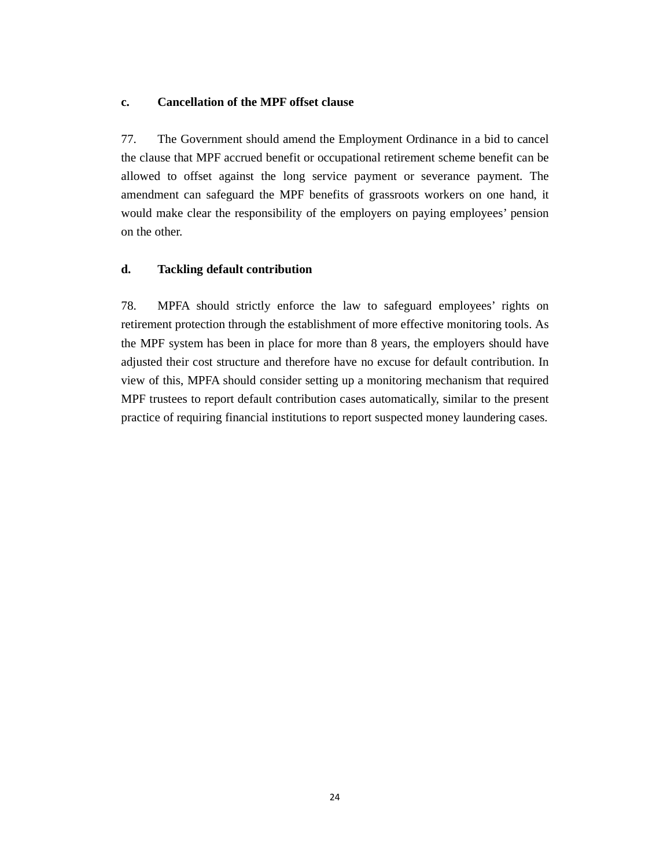### **c. Cancellation of the MPF offset clause**

77. The Government should amend the Employment Ordinance in a bid to cancel the clause that MPF accrued benefit or occupational retirement scheme benefit can be allowed to offset against the long service payment or severance payment. The amendment can safeguard the MPF benefits of grassroots workers on one hand, it would make clear the responsibility of the employers on paying employees' pension on the other.

### **d. Tackling default contribution**

78. MPFA should strictly enforce the law to safeguard employees' rights on retirement protection through the establishment of more effective monitoring tools. As the MPF system has been in place for more than 8 years, the employers should have adjusted their cost structure and therefore have no excuse for default contribution. In view of this, MPFA should consider setting up a monitoring mechanism that required MPF trustees to report default contribution cases automatically, similar to the present practice of requiring financial institutions to report suspected money laundering cases.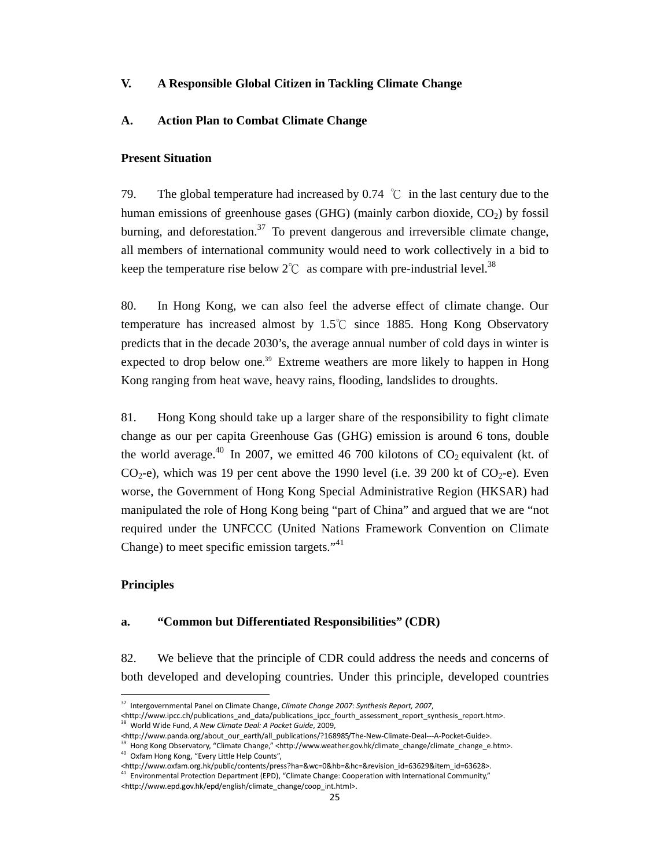### **V. A Responsible Global Citizen in Tackling Climate Change**

### **A. Action Plan to Combat Climate Change**

### **Present Situation**

79. The global temperature had increased by 0.74  $\degree$ C in the last century due to the human emissions of greenhouse gases (GHG) (mainly carbon dioxide,  $CO<sub>2</sub>$ ) by fossil burning, and deforestation.<sup>37</sup> To prevent dangerous and irreversible climate change, all members of international community would need to work collectively in a bid to keep the temperature rise below  $2^{\circ}\text{C}$  as compare with pre-industrial level.<sup>38</sup>

80. In Hong Kong, we can also feel the adverse effect of climate change. Our temperature has increased almost by 1.5℃ since 1885. Hong Kong Observatory predicts that in the decade 2030's, the average annual number of cold days in winter is expected to drop below one.<sup>39</sup> Extreme weathers are more likely to happen in Hong Kong ranging from heat wave, heavy rains, flooding, landslides to droughts.

81. Hong Kong should take up a larger share of the responsibility to fight climate change as our per capita Greenhouse Gas (GHG) emission is around 6 tons, double the world average.<sup>40</sup> In 2007, we emitted 46 700 kilotons of  $CO<sub>2</sub>$  equivalent (kt. of  $CO<sub>2</sub>$ -e), which was 19 per cent above the 1990 level (i.e. 39 200 kt of  $CO<sub>2</sub>$ -e). Even worse, the Government of Hong Kong Special Administrative Region (HKSAR) had manipulated the role of Hong Kong being "part of China" and argued that we are "not required under the UNFCCC (United Nations Framework Convention on Climate Change) to meet specific emission targets."<sup>41</sup>

### **Principles**

.

### **a. "Common but Differentiated Responsibilities" (CDR)**

82. We believe that the principle of CDR could address the needs and concerns of both developed and developing countries. Under this principle, developed countries

<sup>&</sup>lt;sup>37</sup> Intergovernmental Panel on Climate Change, Climate Change 2007: Synthesis Report, 2007,

<sup>&</sup>lt;http://www.ipcc.ch/publications\_and\_data/publications\_ipcc\_fourth\_assessment\_report\_synthesis\_report.htm>.<br><sup>38</sup> World Wide Fund, *A New Climate Deal: A Pocket Guide*, 2009,

<sup>&</sup>lt;http://www.panda.org/about\_our\_earth/all\_publications/?168985/The-New-Climate-Deal---A-Pocket-Guide>.

<sup>39</sup> Hong Kong Observatory, "Climate Change," <http://www.weather.gov.hk/climate\_change/climate\_change\_e.htm>. <sup>40</sup> Oxfam Hong Kong, "Every Little Help Counts",

<sup>&</sup>lt;http://www.oxfam.org.hk/public/contents/press?ha=&wc=0&hb=&hc=&revision\_id=63629&item\_id=63628>.

 $<sup>1</sup>$  Environmental Protection Department (EPD), "Climate Change: Cooperation with International Community,"</sup> <http://www.epd.gov.hk/epd/english/climate\_change/coop\_int.html>.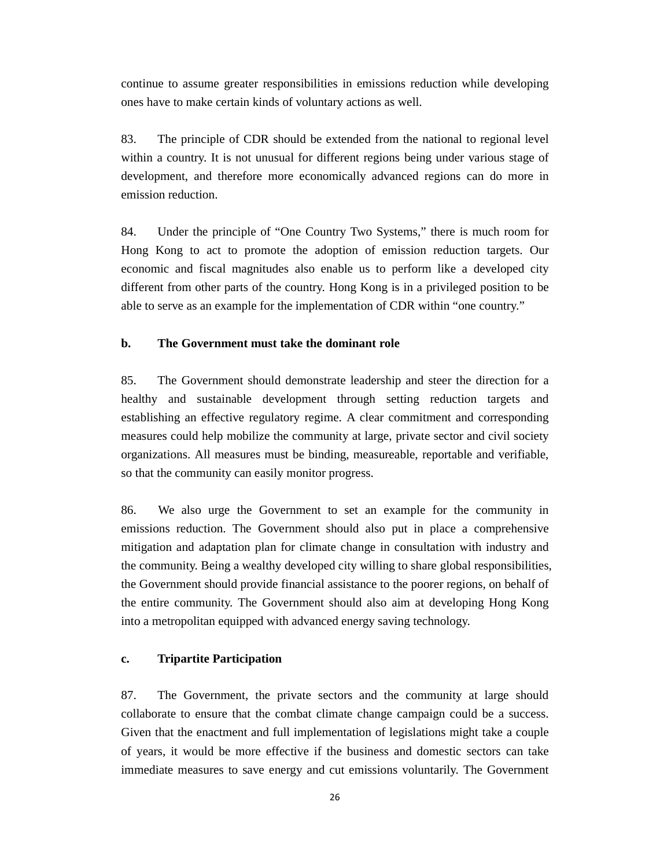continue to assume greater responsibilities in emissions reduction while developing ones have to make certain kinds of voluntary actions as well.

83. The principle of CDR should be extended from the national to regional level within a country. It is not unusual for different regions being under various stage of development, and therefore more economically advanced regions can do more in emission reduction.

84. Under the principle of "One Country Two Systems," there is much room for Hong Kong to act to promote the adoption of emission reduction targets. Our economic and fiscal magnitudes also enable us to perform like a developed city different from other parts of the country. Hong Kong is in a privileged position to be able to serve as an example for the implementation of CDR within "one country."

### **b. The Government must take the dominant role**

85. The Government should demonstrate leadership and steer the direction for a healthy and sustainable development through setting reduction targets and establishing an effective regulatory regime. A clear commitment and corresponding measures could help mobilize the community at large, private sector and civil society organizations. All measures must be binding, measureable, reportable and verifiable, so that the community can easily monitor progress.

86. We also urge the Government to set an example for the community in emissions reduction. The Government should also put in place a comprehensive mitigation and adaptation plan for climate change in consultation with industry and the community. Being a wealthy developed city willing to share global responsibilities, the Government should provide financial assistance to the poorer regions, on behalf of the entire community. The Government should also aim at developing Hong Kong into a metropolitan equipped with advanced energy saving technology.

#### **c. Tripartite Participation**

87. The Government, the private sectors and the community at large should collaborate to ensure that the combat climate change campaign could be a success. Given that the enactment and full implementation of legislations might take a couple of years, it would be more effective if the business and domestic sectors can take immediate measures to save energy and cut emissions voluntarily. The Government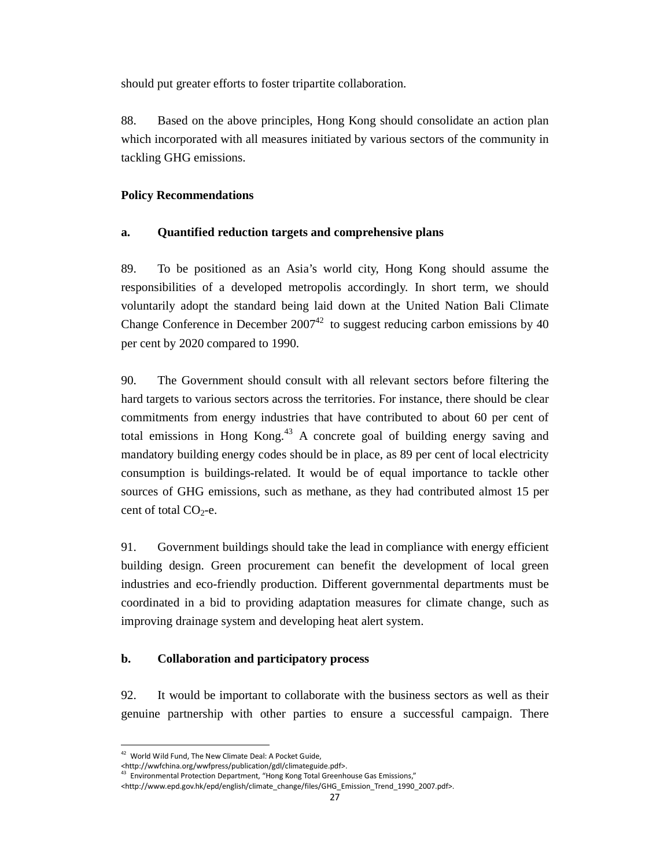should put greater efforts to foster tripartite collaboration.

88. Based on the above principles, Hong Kong should consolidate an action plan which incorporated with all measures initiated by various sectors of the community in tackling GHG emissions.

## **Policy Recommendations**

## **a. Quantified reduction targets and comprehensive plans**

89. To be positioned as an Asia's world city, Hong Kong should assume the responsibilities of a developed metropolis accordingly. In short term, we should voluntarily adopt the standard being laid down at the United Nation Bali Climate Change Conference in December  $2007^{42}$  to suggest reducing carbon emissions by 40 per cent by 2020 compared to 1990.

90. The Government should consult with all relevant sectors before filtering the hard targets to various sectors across the territories. For instance, there should be clear commitments from energy industries that have contributed to about 60 per cent of total emissions in Hong Kong.<sup>43</sup> A concrete goal of building energy saving and mandatory building energy codes should be in place, as 89 per cent of local electricity consumption is buildings-related. It would be of equal importance to tackle other sources of GHG emissions, such as methane, as they had contributed almost 15 per cent of total  $CO<sub>2</sub>$ -e.

91. Government buildings should take the lead in compliance with energy efficient building design. Green procurement can benefit the development of local green industries and eco-friendly production. Different governmental departments must be coordinated in a bid to providing adaptation measures for climate change, such as improving drainage system and developing heat alert system.

## **b. Collaboration and participatory process**

92. It would be important to collaborate with the business sectors as well as their genuine partnership with other parties to ensure a successful campaign. There

-

<sup>42</sup> World Wild Fund, The New Climate Deal: A Pocket Guide,

 $\text{Khttp://www.fchina.org/wwfpress/publication/gdl/climateguide.pdf}>$ 

 $3$  Environmental Protection Department, "Hong Kong Total Greenhouse Gas Emissions,"

<sup>&</sup>lt;http://www.epd.gov.hk/epd/english/climate\_change/files/GHG\_Emission\_Trend\_1990\_2007.pdf>.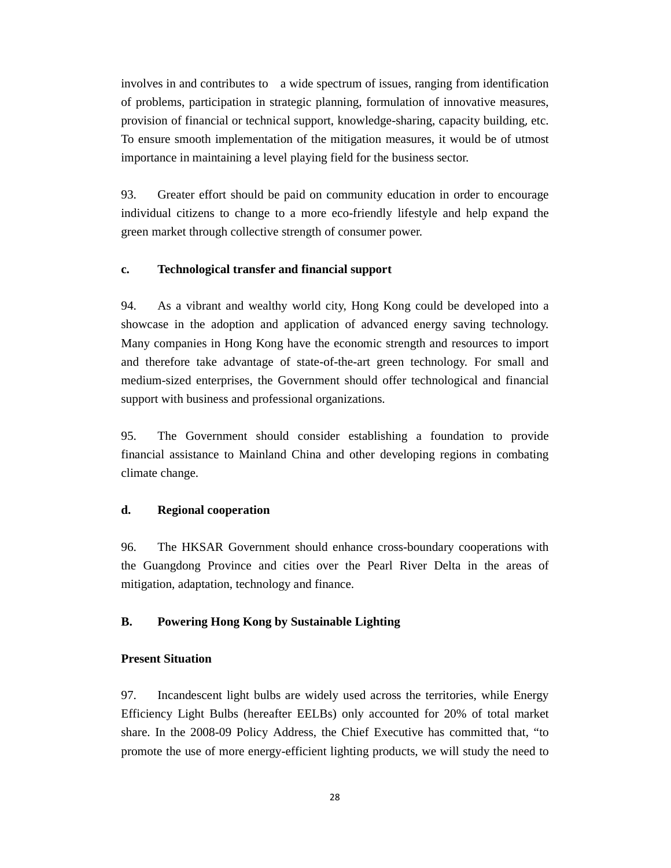involves in and contributes to a wide spectrum of issues, ranging from identification of problems, participation in strategic planning, formulation of innovative measures, provision of financial or technical support, knowledge-sharing, capacity building, etc. To ensure smooth implementation of the mitigation measures, it would be of utmost importance in maintaining a level playing field for the business sector.

93. Greater effort should be paid on community education in order to encourage individual citizens to change to a more eco-friendly lifestyle and help expand the green market through collective strength of consumer power.

### **c. Technological transfer and financial support**

94. As a vibrant and wealthy world city, Hong Kong could be developed into a showcase in the adoption and application of advanced energy saving technology. Many companies in Hong Kong have the economic strength and resources to import and therefore take advantage of state-of-the-art green technology. For small and medium-sized enterprises, the Government should offer technological and financial support with business and professional organizations.

95. The Government should consider establishing a foundation to provide financial assistance to Mainland China and other developing regions in combating climate change.

### **d. Regional cooperation**

96. The HKSAR Government should enhance cross-boundary cooperations with the Guangdong Province and cities over the Pearl River Delta in the areas of mitigation, adaptation, technology and finance.

## **B. Powering Hong Kong by Sustainable Lighting**

### **Present Situation**

97. Incandescent light bulbs are widely used across the territories, while Energy Efficiency Light Bulbs (hereafter EELBs) only accounted for 20% of total market share. In the 2008-09 Policy Address, the Chief Executive has committed that, "to promote the use of more energy-efficient lighting products, we will study the need to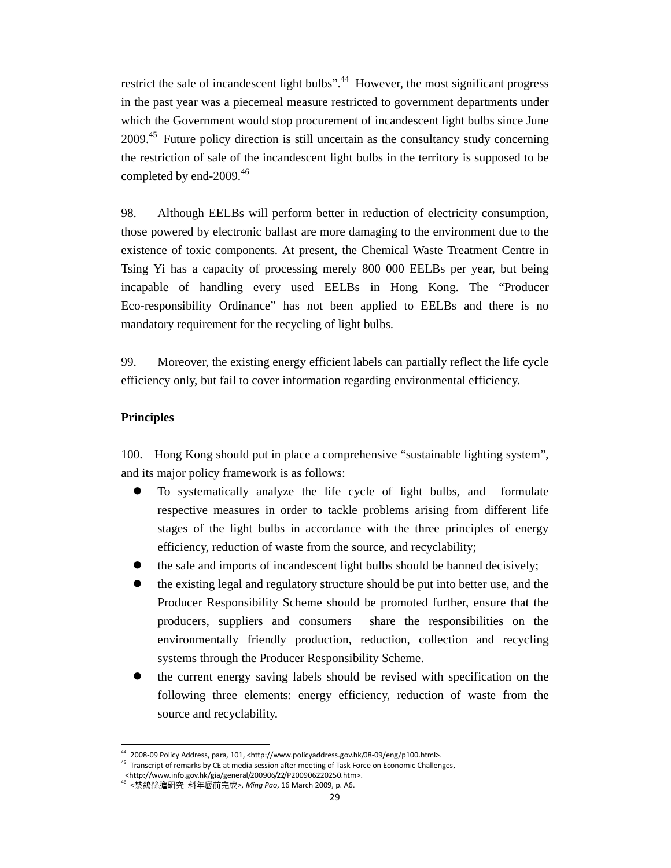restrict the sale of incandescent light bulbs".<sup>44</sup> However, the most significant progress in the past year was a piecemeal measure restricted to government departments under which the Government would stop procurement of incandescent light bulbs since June 2009.<sup>45</sup> Future policy direction is still uncertain as the consultancy study concerning the restriction of sale of the incandescent light bulbs in the territory is supposed to be completed by end-2009.<sup>46</sup>

98. Although EELBs will perform better in reduction of electricity consumption, those powered by electronic ballast are more damaging to the environment due to the existence of toxic components. At present, the Chemical Waste Treatment Centre in Tsing Yi has a capacity of processing merely 800 000 EELBs per year, but being incapable of handling every used EELBs in Hong Kong. The "Producer Eco-responsibility Ordinance" has not been applied to EELBs and there is no mandatory requirement for the recycling of light bulbs.

99. Moreover, the existing energy efficient labels can partially reflect the life cycle efficiency only, but fail to cover information regarding environmental efficiency.

### **Principles**

.

100. Hong Kong should put in place a comprehensive "sustainable lighting system", and its major policy framework is as follows:

- To systematically analyze the life cycle of light bulbs, and formulate respective measures in order to tackle problems arising from different life stages of the light bulbs in accordance with the three principles of energy efficiency, reduction of waste from the source, and recyclability;
- the sale and imports of incandescent light bulbs should be banned decisively;
- the existing legal and regulatory structure should be put into better use, and the Producer Responsibility Scheme should be promoted further, ensure that the producers, suppliers and consumers share the responsibilities on the environmentally friendly production, reduction, collection and recycling systems through the Producer Responsibility Scheme.
- the current energy saving labels should be revised with specification on the following three elements: energy efficiency, reduction of waste from the source and recyclability.

<sup>44</sup> 2008-09 Policy Address, para, 101, <http://www.policyaddress.gov.hk/08-09/eng/p100.html>.

<sup>&</sup>lt;sup>45</sup> Transcript of remarks by CE at media session after meeting of Task Force on Economic Challenges,

 <sup>&</sup>lt;http://www.info.gov.hk/gia/general/200906/22/P200906220250.htm>.

<sup>46</sup> <禁鎢絲膽研究 料年底前完成>, Ming Pao, 16 March 2009, p. A6.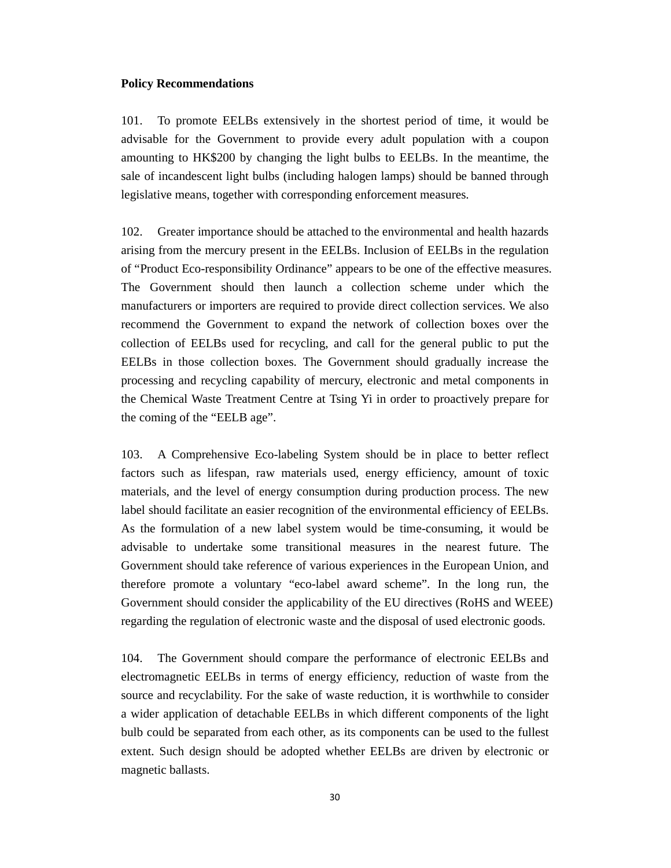#### **Policy Recommendations**

101. To promote EELBs extensively in the shortest period of time, it would be advisable for the Government to provide every adult population with a coupon amounting to HK\$200 by changing the light bulbs to EELBs. In the meantime, the sale of incandescent light bulbs (including halogen lamps) should be banned through legislative means, together with corresponding enforcement measures.

102. Greater importance should be attached to the environmental and health hazards arising from the mercury present in the EELBs. Inclusion of EELBs in the regulation of "Product Eco-responsibility Ordinance" appears to be one of the effective measures. The Government should then launch a collection scheme under which the manufacturers or importers are required to provide direct collection services. We also recommend the Government to expand the network of collection boxes over the collection of EELBs used for recycling, and call for the general public to put the EELBs in those collection boxes. The Government should gradually increase the processing and recycling capability of mercury, electronic and metal components in the Chemical Waste Treatment Centre at Tsing Yi in order to proactively prepare for the coming of the "EELB age".

103. A Comprehensive Eco-labeling System should be in place to better reflect factors such as lifespan, raw materials used, energy efficiency, amount of toxic materials, and the level of energy consumption during production process. The new label should facilitate an easier recognition of the environmental efficiency of EELBs. As the formulation of a new label system would be time-consuming, it would be advisable to undertake some transitional measures in the nearest future. The Government should take reference of various experiences in the European Union, and therefore promote a voluntary "eco-label award scheme". In the long run, the Government should consider the applicability of the EU directives (RoHS and WEEE) regarding the regulation of electronic waste and the disposal of used electronic goods.

104. The Government should compare the performance of electronic EELBs and electromagnetic EELBs in terms of energy efficiency, reduction of waste from the source and recyclability. For the sake of waste reduction, it is worthwhile to consider a wider application of detachable EELBs in which different components of the light bulb could be separated from each other, as its components can be used to the fullest extent. Such design should be adopted whether EELBs are driven by electronic or magnetic ballasts.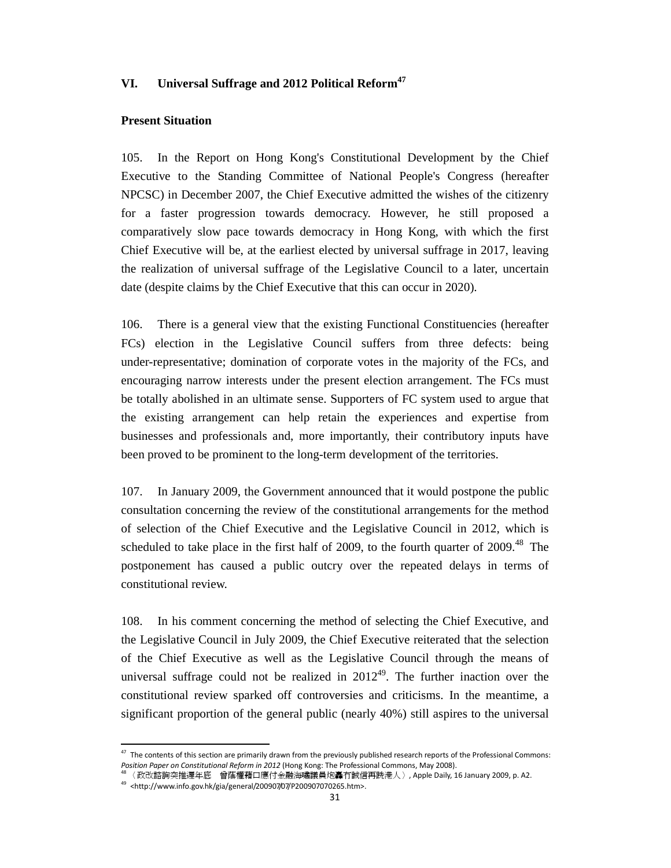### **VI. Universal Suffrage and 2012 Political Reform<sup>47</sup>**

#### **Present Situation**

105. In the Report on Hong Kong's Constitutional Development by the Chief Executive to the Standing Committee of National People's Congress (hereafter NPCSC) in December 2007, the Chief Executive admitted the wishes of the citizenry for a faster progression towards democracy. However, he still proposed a comparatively slow pace towards democracy in Hong Kong, with which the first Chief Executive will be, at the earliest elected by universal suffrage in 2017, leaving the realization of universal suffrage of the Legislative Council to a later, uncertain date (despite claims by the Chief Executive that this can occur in 2020).

106. There is a general view that the existing Functional Constituencies (hereafter FCs) election in the Legislative Council suffers from three defects: being under-representative; domination of corporate votes in the majority of the FCs, and encouraging narrow interests under the present election arrangement. The FCs must be totally abolished in an ultimate sense. Supporters of FC system used to argue that the existing arrangement can help retain the experiences and expertise from businesses and professionals and, more importantly, their contributory inputs have been proved to be prominent to the long-term development of the territories.

107. In January 2009, the Government announced that it would postpone the public consultation concerning the review of the constitutional arrangements for the method of selection of the Chief Executive and the Legislative Council in 2012, which is scheduled to take place in the first half of 2009, to the fourth quarter of  $2009$ <sup>48</sup>. The postponement has caused a public outcry over the repeated delays in terms of constitutional review.

108. In his comment concerning the method of selecting the Chief Executive, and the Legislative Council in July 2009, the Chief Executive reiterated that the selection of the Chief Executive as well as the Legislative Council through the means of universal suffrage could not be realized in  $2012^{49}$ . The further inaction over the constitutional review sparked off controversies and criticisms. In the meantime, a significant proportion of the general public (nearly 40%) still aspires to the universal

.

 $47$  The contents of this section are primarily drawn from the previously published research reports of the Professional Commons: Position Paper on Constitutional Reform in 2012 (Hong Kong: The Professional Commons, May 2008).

<sup>48</sup>〈政改諮詢突推遲年底 曾蔭權藉口應付金融海嘯議員炮轟冇誠信再跣港人〉, Apple Daily, 16 January 2009, p. A2.

 $49$  <http://www.info.gov.hk/gia/general/200907/07/P200907070265.htm>.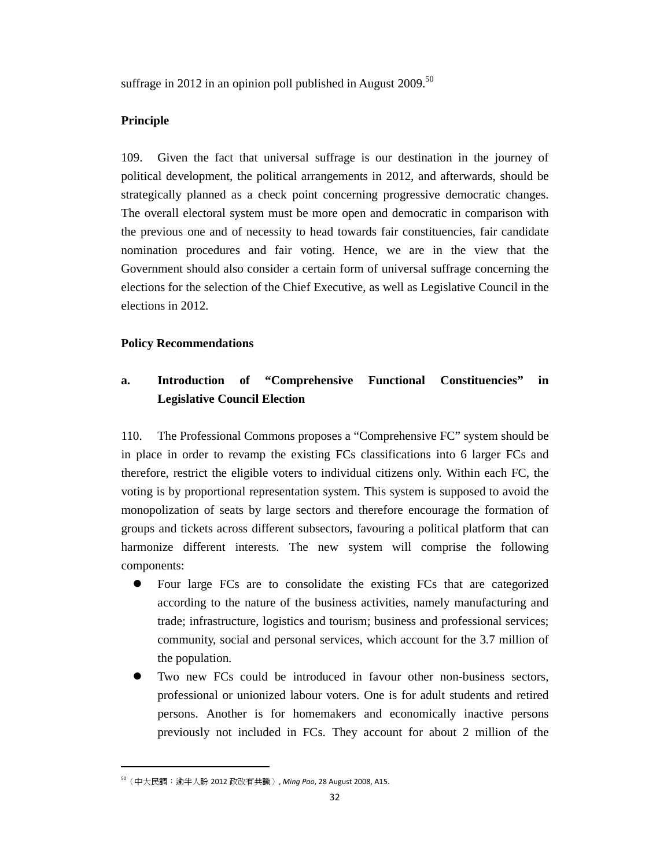suffrage in 2012 in an opinion poll published in August  $2009$ .<sup>50</sup>

### **Principle**

109. Given the fact that universal suffrage is our destination in the journey of political development, the political arrangements in 2012, and afterwards, should be strategically planned as a check point concerning progressive democratic changes. The overall electoral system must be more open and democratic in comparison with the previous one and of necessity to head towards fair constituencies, fair candidate nomination procedures and fair voting. Hence, we are in the view that the Government should also consider a certain form of universal suffrage concerning the elections for the selection of the Chief Executive, as well as Legislative Council in the elections in 2012.

### **Policy Recommendations**

# **a. Introduction of "Comprehensive Functional Constituencies" in Legislative Council Election**

110. The Professional Commons proposes a "Comprehensive FC" system should be in place in order to revamp the existing FCs classifications into 6 larger FCs and therefore, restrict the eligible voters to individual citizens only. Within each FC, the voting is by proportional representation system. This system is supposed to avoid the monopolization of seats by large sectors and therefore encourage the formation of groups and tickets across different subsectors, favouring a political platform that can harmonize different interests. The new system will comprise the following components:

- Four large FCs are to consolidate the existing FCs that are categorized according to the nature of the business activities, namely manufacturing and trade; infrastructure, logistics and tourism; business and professional services; community, social and personal services, which account for the 3.7 million of the population.
- Two new FCs could be introduced in favour other non-business sectors, professional or unionized labour voters. One is for adult students and retired persons. Another is for homemakers and economically inactive persons previously not included in FCs. They account for about 2 million of the

.

<sup>50</sup>〈中大民調:逾半人盼 2012 政改有共識〉, Ming Pao, 28 August 2008, A15.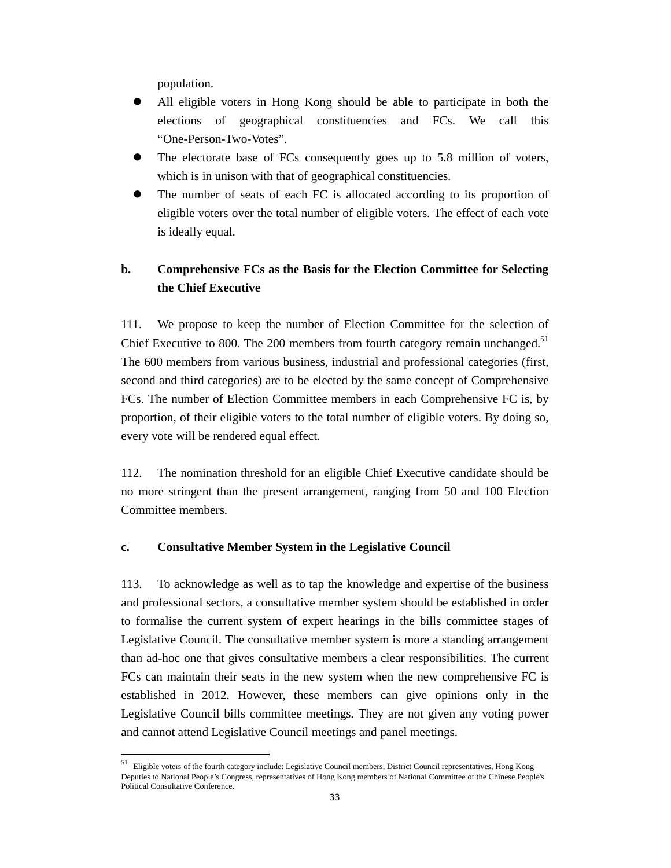population.

1

- All eligible voters in Hong Kong should be able to participate in both the elections of geographical constituencies and FCs. We call this "One-Person-Two-Votes".
- The electorate base of FCs consequently goes up to 5.8 million of voters, which is in unison with that of geographical constituencies.
- The number of seats of each FC is allocated according to its proportion of eligible voters over the total number of eligible voters. The effect of each vote is ideally equal.

# **b. Comprehensive FCs as the Basis for the Election Committee for Selecting the Chief Executive**

111. We propose to keep the number of Election Committee for the selection of Chief Executive to 800. The 200 members from fourth category remain unchanged.<sup>51</sup> The 600 members from various business, industrial and professional categories (first, second and third categories) are to be elected by the same concept of Comprehensive FCs. The number of Election Committee members in each Comprehensive FC is, by proportion, of their eligible voters to the total number of eligible voters. By doing so, every vote will be rendered equal effect.

112. The nomination threshold for an eligible Chief Executive candidate should be no more stringent than the present arrangement, ranging from 50 and 100 Election Committee members.

### **c. Consultative Member System in the Legislative Council**

113. To acknowledge as well as to tap the knowledge and expertise of the business and professional sectors, a consultative member system should be established in order to formalise the current system of expert hearings in the bills committee stages of Legislative Council. The consultative member system is more a standing arrangement than ad-hoc one that gives consultative members a clear responsibilities. The current FCs can maintain their seats in the new system when the new comprehensive FC is established in 2012. However, these members can give opinions only in the Legislative Council bills committee meetings. They are not given any voting power and cannot attend Legislative Council meetings and panel meetings.

 $51$  Eligible voters of the fourth category include: Legislative Council members, District Council representatives, Hong Kong Deputies to National People's Congress, representatives of Hong Kong members of National Committee of the Chinese People's Political Consultative Conference.